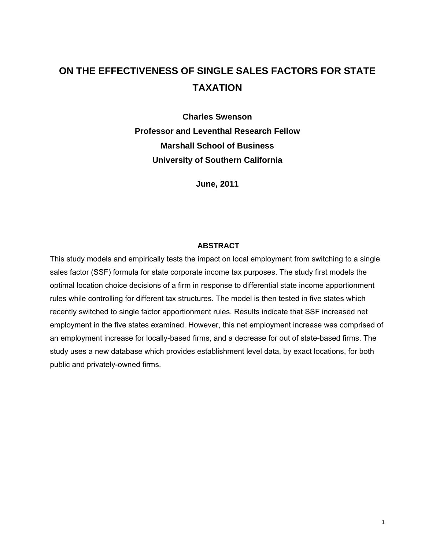# **ON THE EFFECTIVENESS OF SINGLE SALES FACTORS FOR STATE TAXATION**

**Charles Swenson Professor and Leventhal Research Fellow Marshall School of Business University of Southern California** 

**June, 2011** 

#### **ABSTRACT**

This study models and empirically tests the impact on local employment from switching to a single sales factor (SSF) formula for state corporate income tax purposes. The study first models the optimal location choice decisions of a firm in response to differential state income apportionment rules while controlling for different tax structures. The model is then tested in five states which recently switched to single factor apportionment rules. Results indicate that SSF increased net employment in the five states examined. However, this net employment increase was comprised of an employment increase for locally-based firms, and a decrease for out of state-based firms. The study uses a new database which provides establishment level data, by exact locations, for both public and privately-owned firms.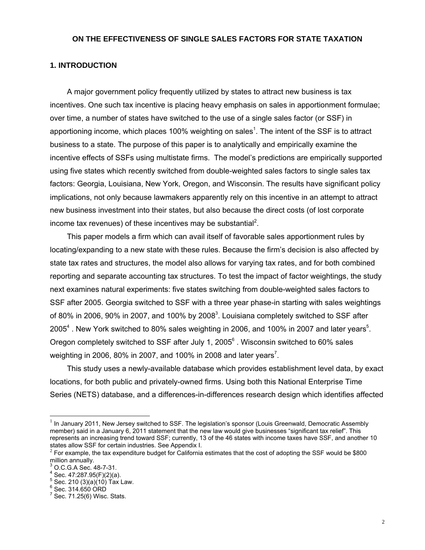### **ON THE EFFECTIVENESS OF SINGLE SALES FACTORS FOR STATE TAXATION**

### **1. INTRODUCTION**

 A major government policy frequently utilized by states to attract new business is tax incentives. One such tax incentive is placing heavy emphasis on sales in apportionment formulae; over time, a number of states have switched to the use of a single sales factor (or SSF) in apportioning income, which places 100% weighting on sales<sup>1</sup>. The intent of the SSF is to attract business to a state. The purpose of this paper is to analytically and empirically examine the incentive effects of SSFs using multistate firms. The model's predictions are empirically supported using five states which recently switched from double-weighted sales factors to single sales tax factors: Georgia, Louisiana, New York, Oregon, and Wisconsin. The results have significant policy implications, not only because lawmakers apparently rely on this incentive in an attempt to attract new business investment into their states, but also because the direct costs (of lost corporate income tax revenues) of these incentives may be substantial<sup>2</sup>.

 This paper models a firm which can avail itself of favorable sales apportionment rules by locating/expanding to a new state with these rules. Because the firm's decision is also affected by state tax rates and structures, the model also allows for varying tax rates, and for both combined reporting and separate accounting tax structures. To test the impact of factor weightings, the study next examines natural experiments: five states switching from double-weighted sales factors to SSF after 2005. Georgia switched to SSF with a three year phase-in starting with sales weightings of 80% in 2006, 90% in 2007, and 100% by 2008<sup>3</sup>. Louisiana completely switched to SSF after 2005<sup>4</sup>. New York switched to 80% sales weighting in 2006, and 100% in 2007 and later years<sup>5</sup>. Oregon completely switched to SSF after July 1, 2005 $^6$  . Wisconsin switched to 60% sales weighting in 2006, 80% in 2007, and 100% in 2008 and later years<sup>7</sup>.

 This study uses a newly-available database which provides establishment level data, by exact locations, for both public and privately-owned firms. Using both this National Enterprise Time Series (NETS) database, and a differences-in-differences research design which identifies affected

 $\overline{a}$ 

 $<sup>1</sup>$  In January 2011, New Jersey switched to SSF. The legislation's sponsor (Louis Greenwald, Democratic Assembly</sup> member) said in a January 6, 2011 statement that the new law would give businesses "significant tax relief". This represents an increasing trend toward SSF; currently, 13 of the 46 states with income taxes have SSF, and another 10 states allow SSF for certain industries. See Appendix I.

 $2$  For example, the tax expenditure budget for California estimates that the cost of adopting the SSF would be \$800 million annually.

<sup>3</sup> O.C.G.A Sec. 48-7-31.

 $4$  Sec. 47:287.95(F)(2)(a).

 $^5$  Sec. 210 (3)(a)(10) Tax Law.

 $^6$  Sec. 314.650 ORD

 $7$  Sec. 71.25(6) Wisc. Stats.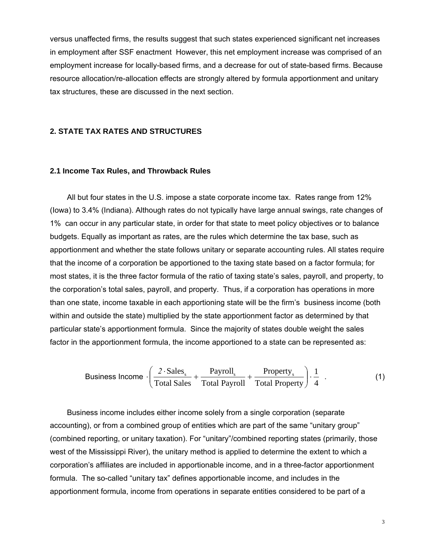versus unaffected firms, the results suggest that such states experienced significant net increases in employment after SSF enactment However, this net employment increase was comprised of an employment increase for locally-based firms, and a decrease for out of state-based firms. Because resource allocation/re-allocation effects are strongly altered by formula apportionment and unitary tax structures, these are discussed in the next section.

### **2. STATE TAX RATES AND STRUCTURES**

#### **2.1 Income Tax Rules, and Throwback Rules**

 All but four states in the U.S. impose a state corporate income tax. Rates range from 12% (Iowa) to 3.4% (Indiana). Although rates do not typically have large annual swings, rate changes of 1% can occur in any particular state, in order for that state to meet policy objectives or to balance budgets. Equally as important as rates, are the rules which determine the tax base, such as apportionment and whether the state follows unitary or separate accounting rules. All states require that the income of a corporation be apportioned to the taxing state based on a factor formula; for most states, it is the three factor formula of the ratio of taxing state's sales, payroll, and property, to the corporation's total sales, payroll, and property. Thus, if a corporation has operations in more than one state, income taxable in each apportioning state will be the firm's business income (both within and outside the state) multiplied by the state apportionment factor as determined by that particular state's apportionment formula. Since the majority of states double weight the sales factor in the apportionment formula, the income apportioned to a state can be represented as:

Business Income 
$$
\cdot \left( \frac{2 \cdot \text{Sales}_s}{\text{Total Sales}} + \frac{\text{Payroll}_s}{\text{Total Payroll}} + \frac{\text{Property}_s}{\text{Total Property}} \right) \cdot \frac{1}{4}
$$
. (1)

 Business income includes either income solely from a single corporation (separate accounting), or from a combined group of entities which are part of the same "unitary group" (combined reporting, or unitary taxation). For "unitary"/combined reporting states (primarily, those west of the Mississippi River), the unitary method is applied to determine the extent to which a corporation's affiliates are included in apportionable income, and in a three-factor apportionment formula. The so-called "unitary tax" defines apportionable income, and includes in the apportionment formula, income from operations in separate entities considered to be part of a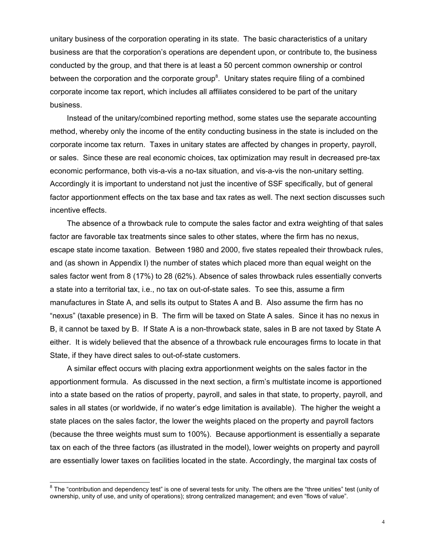unitary business of the corporation operating in its state. The basic characteristics of a unitary business are that the corporation's operations are dependent upon, or contribute to, the business conducted by the group, and that there is at least a 50 percent common ownership or control between the corporation and the corporate group<sup>8</sup>. Unitary states require filing of a combined corporate income tax report, which includes all affiliates considered to be part of the unitary business.

 Instead of the unitary/combined reporting method, some states use the separate accounting method, whereby only the income of the entity conducting business in the state is included on the corporate income tax return. Taxes in unitary states are affected by changes in property, payroll, or sales. Since these are real economic choices, tax optimization may result in decreased pre-tax economic performance, both vis-a-vis a no-tax situation, and vis-a-vis the non-unitary setting. Accordingly it is important to understand not just the incentive of SSF specifically, but of general factor apportionment effects on the tax base and tax rates as well. The next section discusses such incentive effects.

 The absence of a throwback rule to compute the sales factor and extra weighting of that sales factor are favorable tax treatments since sales to other states, where the firm has no nexus, escape state income taxation. Between 1980 and 2000, five states repealed their throwback rules, and (as shown in Appendix I) the number of states which placed more than equal weight on the sales factor went from 8 (17%) to 28 (62%). Absence of sales throwback rules essentially converts a state into a territorial tax, i.e., no tax on out-of-state sales. To see this, assume a firm manufactures in State A, and sells its output to States A and B. Also assume the firm has no "nexus" (taxable presence) in B. The firm will be taxed on State A sales. Since it has no nexus in B, it cannot be taxed by B. If State A is a non-throwback state, sales in B are not taxed by State A either. It is widely believed that the absence of a throwback rule encourages firms to locate in that State, if they have direct sales to out-of-state customers.

 A similar effect occurs with placing extra apportionment weights on the sales factor in the apportionment formula. As discussed in the next section, a firm's multistate income is apportioned into a state based on the ratios of property, payroll, and sales in that state, to property, payroll, and sales in all states (or worldwide, if no water's edge limitation is available). The higher the weight a state places on the sales factor, the lower the weights placed on the property and payroll factors (because the three weights must sum to 100%). Because apportionment is essentially a separate tax on each of the three factors (as illustrated in the model), lower weights on property and payroll are essentially lower taxes on facilities located in the state. Accordingly, the marginal tax costs of

 $^8$  The "contribution and dependency test" is one of several tests for unity. The others are the "three unities" test (unity of ownership, unity of use, and unity of operations); strong centralized management; and even "flows of value".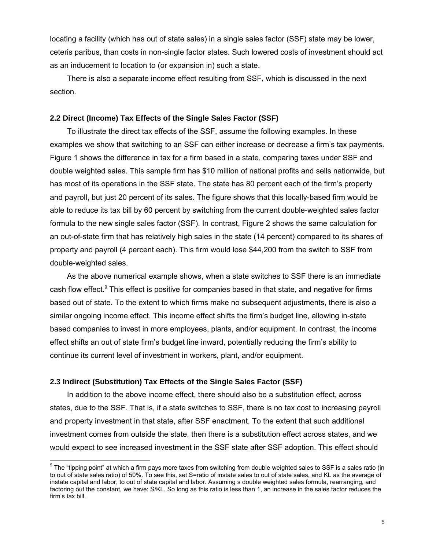locating a facility (which has out of state sales) in a single sales factor (SSF) state may be lower, ceteris paribus, than costs in non-single factor states. Such lowered costs of investment should act as an inducement to location to (or expansion in) such a state.

 There is also a separate income effect resulting from SSF, which is discussed in the next section.

### **2.2 Direct (Income) Tax Effects of the Single Sales Factor (SSF)**

 To illustrate the direct tax effects of the SSF, assume the following examples. In these examples we show that switching to an SSF can either increase or decrease a firm's tax payments. Figure 1 shows the difference in tax for a firm based in a state, comparing taxes under SSF and double weighted sales. This sample firm has \$10 million of national profits and sells nationwide, but has most of its operations in the SSF state. The state has 80 percent each of the firm's property and payroll, but just 20 percent of its sales. The figure shows that this locally-based firm would be able to reduce its tax bill by 60 percent by switching from the current double-weighted sales factor formula to the new single sales factor (SSF). In contrast, Figure 2 shows the same calculation for an out-of-state firm that has relatively high sales in the state (14 percent) compared to its shares of property and payroll (4 percent each). This firm would lose \$44,200 from the switch to SSF from double-weighted sales.

 As the above numerical example shows, when a state switches to SSF there is an immediate cash flow effect.<sup>9</sup> This effect is positive for companies based in that state, and negative for firms based out of state. To the extent to which firms make no subsequent adjustments, there is also a similar ongoing income effect. This income effect shifts the firm's budget line, allowing in-state based companies to invest in more employees, plants, and/or equipment. In contrast, the income effect shifts an out of state firm's budget line inward, potentially reducing the firm's ability to continue its current level of investment in workers, plant, and/or equipment.

## **2.3 Indirect (Substitution) Tax Effects of the Single Sales Factor (SSF)**

 In addition to the above income effect, there should also be a substitution effect, across states, due to the SSF. That is, if a state switches to SSF, there is no tax cost to increasing payroll and property investment in that state, after SSF enactment. To the extent that such additional investment comes from outside the state, then there is a substitution effect across states, and we would expect to see increased investment in the SSF state after SSF adoption. This effect should

 $\overline{\phantom{a}^9}$  The "tipping point" at which a firm pays more taxes from switching from double weighted sales to SSF is a sales ratio (in to out of state sales ratio) of 50%. To see this, set S=ratio of instate sales to out of state sales, and KL as the average of instate capital and labor, to out of state capital and labor. Assuming s double weighted sales formula, rearranging, and factoring out the constant, we have: S/KL. So long as this ratio is less than 1, an increase in the sales factor reduces the firm's tax bill.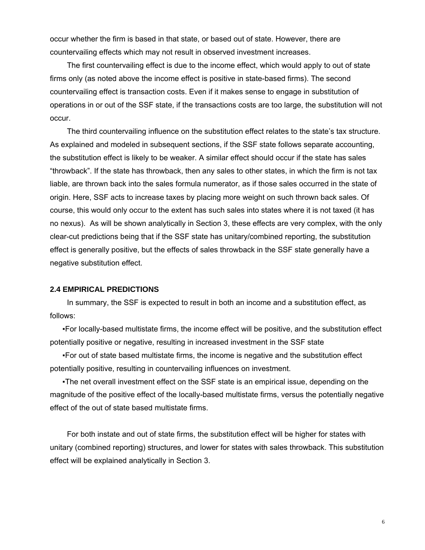occur whether the firm is based in that state, or based out of state. However, there are countervailing effects which may not result in observed investment increases.

 The first countervailing effect is due to the income effect, which would apply to out of state firms only (as noted above the income effect is positive in state-based firms). The second countervailing effect is transaction costs. Even if it makes sense to engage in substitution of operations in or out of the SSF state, if the transactions costs are too large, the substitution will not occur.

 The third countervailing influence on the substitution effect relates to the state's tax structure. As explained and modeled in subsequent sections, if the SSF state follows separate accounting, the substitution effect is likely to be weaker. A similar effect should occur if the state has sales "throwback". If the state has throwback, then any sales to other states, in which the firm is not tax liable, are thrown back into the sales formula numerator, as if those sales occurred in the state of origin. Here, SSF acts to increase taxes by placing more weight on such thrown back sales. Of course, this would only occur to the extent has such sales into states where it is not taxed (it has no nexus). As will be shown analytically in Section 3, these effects are very complex, with the only clear-cut predictions being that if the SSF state has unitary/combined reporting, the substitution effect is generally positive, but the effects of sales throwback in the SSF state generally have a negative substitution effect.

### **2.4 EMPIRICAL PREDICTIONS**

 In summary, the SSF is expected to result in both an income and a substitution effect, as follows:

▪For locally-based multistate firms, the income effect will be positive, and the substitution effect potentially positive or negative, resulting in increased investment in the SSF state

▪For out of state based multistate firms, the income is negative and the substitution effect potentially positive, resulting in countervailing influences on investment.

▪The net overall investment effect on the SSF state is an empirical issue, depending on the magnitude of the positive effect of the locally-based multistate firms, versus the potentially negative effect of the out of state based multistate firms.

 For both instate and out of state firms, the substitution effect will be higher for states with unitary (combined reporting) structures, and lower for states with sales throwback. This substitution effect will be explained analytically in Section 3.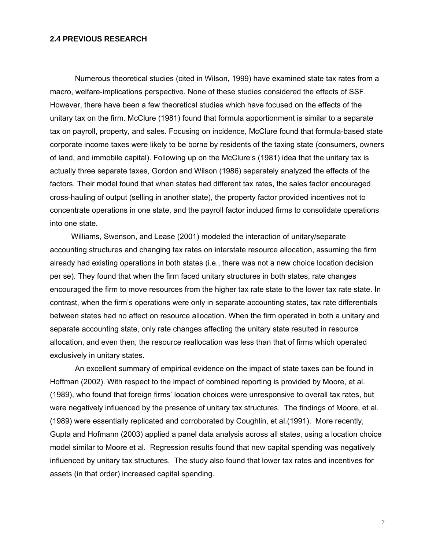#### **2.4 PREVIOUS RESEARCH**

 Numerous theoretical studies (cited in Wilson, 1999) have examined state tax rates from a macro, welfare-implications perspective. None of these studies considered the effects of SSF. However, there have been a few theoretical studies which have focused on the effects of the unitary tax on the firm. McClure (1981) found that formula apportionment is similar to a separate tax on payroll, property, and sales. Focusing on incidence, McClure found that formula-based state corporate income taxes were likely to be borne by residents of the taxing state (consumers, owners of land, and immobile capital). Following up on the McClure's (1981) idea that the unitary tax is actually three separate taxes, Gordon and Wilson (1986) separately analyzed the effects of the factors. Their model found that when states had different tax rates, the sales factor encouraged cross-hauling of output (selling in another state), the property factor provided incentives not to concentrate operations in one state, and the payroll factor induced firms to consolidate operations into one state.

 Williams, Swenson, and Lease (2001) modeled the interaction of unitary/separate accounting structures and changing tax rates on interstate resource allocation, assuming the firm already had existing operations in both states (i.e., there was not a new choice location decision per se). They found that when the firm faced unitary structures in both states, rate changes encouraged the firm to move resources from the higher tax rate state to the lower tax rate state. In contrast, when the firm's operations were only in separate accounting states, tax rate differentials between states had no affect on resource allocation. When the firm operated in both a unitary and separate accounting state, only rate changes affecting the unitary state resulted in resource allocation, and even then, the resource reallocation was less than that of firms which operated exclusively in unitary states.

 An excellent summary of empirical evidence on the impact of state taxes can be found in Hoffman (2002). With respect to the impact of combined reporting is provided by Moore, et al. (1989), who found that foreign firms' location choices were unresponsive to overall tax rates, but were negatively influenced by the presence of unitary tax structures. The findings of Moore, et al. (1989) were essentially replicated and corroborated by Coughlin, et al.(1991). More recently, Gupta and Hofmann (2003) applied a panel data analysis across all states, using a location choice model similar to Moore et al. Regression results found that new capital spending was negatively influenced by unitary tax structures. The study also found that lower tax rates and incentives for assets (in that order) increased capital spending.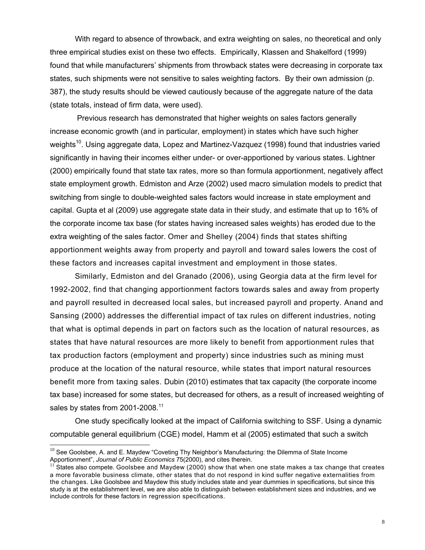With regard to absence of throwback, and extra weighting on sales, no theoretical and only three empirical studies exist on these two effects. Empirically, Klassen and Shakelford (1999) found that while manufacturers' shipments from throwback states were decreasing in corporate tax states, such shipments were not sensitive to sales weighting factors. By their own admission (p. 387), the study results should be viewed cautiously because of the aggregate nature of the data (state totals, instead of firm data, were used).

 Previous research has demonstrated that higher weights on sales factors generally increase economic growth (and in particular, employment) in states which have such higher weights<sup>10</sup>. Using aggregate data, Lopez and Martinez-Vazguez (1998) found that industries varied significantly in having their incomes either under- or over-apportioned by various states. Lightner (2000) empirically found that state tax rates, more so than formula apportionment, negatively affect state employment growth. Edmiston and Arze (2002) used macro simulation models to predict that switching from single to double-weighted sales factors would increase in state employment and capital. Gupta et al (2009) use aggregate state data in their study, and estimate that up to 16% of the corporate income tax base (for states having increased sales weights) has eroded due to the extra weighting of the sales factor. Omer and Shelley (2004) finds that states shifting apportionment weights away from property and payroll and toward sales lowers the cost of these factors and increases capital investment and employment in those states.

Similarly, Edmiston and del Granado (2006), using Georgia data at the firm level for 1992-2002, find that changing apportionment factors towards sales and away from property and payroll resulted in decreased local sales, but increased payroll and property. Anand and Sansing (2000) addresses the differential impact of tax rules on different industries, noting that what is optimal depends in part on factors such as the location of natural resources, as states that have natural resources are more likely to benefit from apportionment rules that tax production factors (employment and property) since industries such as mining must produce at the location of the natural resource, while states that import natural resources benefit more from taxing sales. Dubin (2010) estimates that tax capacity (the corporate income tax base) increased for some states, but decreased for others, as a result of increased weighting of sales by states from 2001-2008.<sup>11</sup>

One study specifically looked at the impact of California switching to SSF. Using a dynamic computable general equilibrium (CGE) model, Hamm et al (2005) estimated that such a switch

 $\overline{a}$ 

 $^{10}$  See Goolsbee, A. and E. Maydew "Coveting Thy Neighbor's Manufacturing: the Dilemma of State Income Apportionment", *Journal of Public Economics* 75(2000), and cites therein.<br><sup>11</sup> States also compete. Goolsbee and Maydew (2000) show that when one state makes a tax change that creates

a more favorable business climate, other states that do not respond in kind suffer negative externalities from the changes. Like Goolsbee and Maydew this study includes state and year dummies in specifications, but since this study is at the establishment level, we are also able to distinguish between establishment sizes and industries, and we include controls for these factors in regression specifications.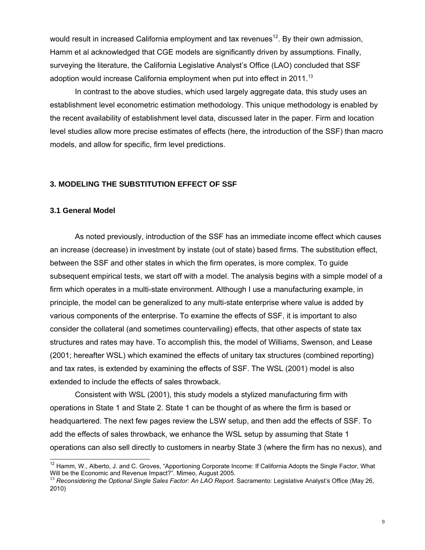would result in increased California employment and tax revenues<sup>12</sup>. By their own admission, Hamm et al acknowledged that CGE models are significantly driven by assumptions. Finally, surveying the literature, the California Legislative Analyst's Office (LAO) concluded that SSF adoption would increase California employment when put into effect in 2011.<sup>13</sup>

 In contrast to the above studies, which used largely aggregate data, this study uses an establishment level econometric estimation methodology. This unique methodology is enabled by the recent availability of establishment level data, discussed later in the paper. Firm and location level studies allow more precise estimates of effects (here, the introduction of the SSF) than macro models, and allow for specific, firm level predictions.

## **3. MODELING THE SUBSTITUTION EFFECT OF SSF**

### **3.1 General Model**

l

 As noted previously, introduction of the SSF has an immediate income effect which causes an increase (decrease) in investment by instate (out of state) based firms. The substitution effect, between the SSF and other states in which the firm operates, is more complex. To guide subsequent empirical tests, we start off with a model. The analysis begins with a simple model of a firm which operates in a multi-state environment. Although I use a manufacturing example, in principle, the model can be generalized to any multi-state enterprise where value is added by various components of the enterprise. To examine the effects of SSF, it is important to also consider the collateral (and sometimes countervailing) effects, that other aspects of state tax structures and rates may have. To accomplish this, the model of Williams, Swenson, and Lease (2001; hereafter WSL) which examined the effects of unitary tax structures (combined reporting) and tax rates, is extended by examining the effects of SSF. The WSL (2001) model is also extended to include the effects of sales throwback.

Consistent with WSL (2001), this study models a stylized manufacturing firm with operations in State 1 and State 2. State 1 can be thought of as where the firm is based or headquartered. The next few pages review the LSW setup, and then add the effects of SSF. To add the effects of sales throwback, we enhance the WSL setup by assuming that State 1 operations can also sell directly to customers in nearby State 3 (where the firm has no nexus), and

 $12$  Hamm, W., Alberto, J. and C. Groves, "Apportioning Corporate Income: If California Adopts the Single Factor, What Will be the Economic and Revenue Impact?". Mimeo, August 2005.

<sup>&</sup>lt;sup>13</sup> Reconsidering the Optional Single Sales Factor: An LAO Report. Sacramento: Legislative Analyst's Office (May 26, 2010)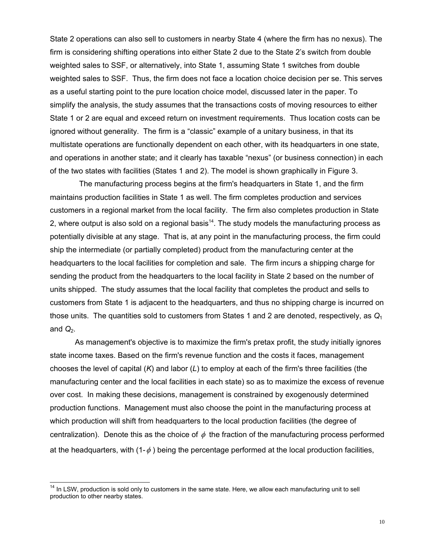State 2 operations can also sell to customers in nearby State 4 (where the firm has no nexus). The firm is considering shifting operations into either State 2 due to the State 2's switch from double weighted sales to SSF, or alternatively, into State 1, assuming State 1 switches from double weighted sales to SSF. Thus, the firm does not face a location choice decision per se. This serves as a useful starting point to the pure location choice model, discussed later in the paper. To simplify the analysis, the study assumes that the transactions costs of moving resources to either State 1 or 2 are equal and exceed return on investment requirements. Thus location costs can be ignored without generality. The firm is a "classic" example of a unitary business, in that its multistate operations are functionally dependent on each other, with its headquarters in one state, and operations in another state; and it clearly has taxable "nexus" (or business connection) in each of the two states with facilities (States 1 and 2). The model is shown graphically in Figure 3.

 The manufacturing process begins at the firm's headquarters in State 1, and the firm maintains production facilities in State 1 as well. The firm completes production and services customers in a regional market from the local facility. The firm also completes production in State 2, where output is also sold on a regional basis<sup>14</sup>. The study models the manufacturing process as potentially divisible at any stage. That is, at any point in the manufacturing process, the firm could ship the intermediate (or partially completed) product from the manufacturing center at the headquarters to the local facilities for completion and sale. The firm incurs a shipping charge for sending the product from the headquarters to the local facility in State 2 based on the number of units shipped. The study assumes that the local facility that completes the product and sells to customers from State 1 is adjacent to the headquarters, and thus no shipping charge is incurred on those units. The quantities sold to customers from States 1 and 2 are denoted, respectively, as *Q*<sup>1</sup> and  $Q_2$ .

 As management's objective is to maximize the firm's pretax profit, the study initially ignores state income taxes. Based on the firm's revenue function and the costs it faces, management chooses the level of capital (*K*) and labor (*L*) to employ at each of the firm's three facilities (the manufacturing center and the local facilities in each state) so as to maximize the excess of revenue over cost. In making these decisions, management is constrained by exogenously determined production functions. Management must also choose the point in the manufacturing process at which production will shift from headquarters to the local production facilities (the degree of centralization). Denote this as the choice of  $\phi$  the fraction of the manufacturing process performed at the headquarters, with  $(1-\phi)$  being the percentage performed at the local production facilities,

 $\overline{a}$ 

<sup>&</sup>lt;sup>14</sup> In LSW, production is sold only to customers in the same state. Here, we allow each manufacturing unit to sell production to other nearby states.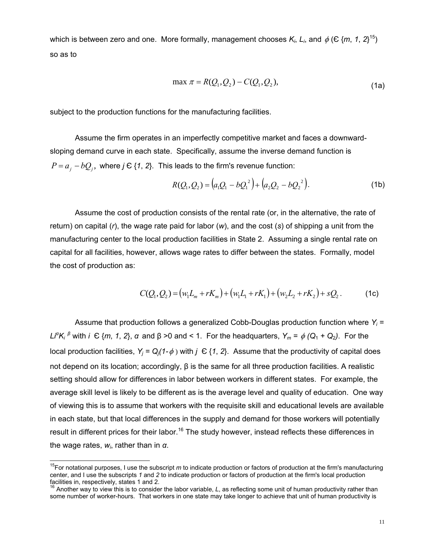which is between zero and one. More formally, management chooses  $K_i$ ,  $L_i$ , and  $\phi$  ( $\in$  {m, 1, 2}<sup>15</sup>) so as to

$$
\max \pi = R(Q_1, Q_2) - C(Q_1, Q_2),
$$
\n(1a)

subject to the production functions for the manufacturing facilities.

 Assume the firm operates in an imperfectly competitive market and faces a downwardsloping demand curve in each state. Specifically, assume the inverse demand function is  $P = a_j - bQ_j$ , where *j*  $\in$  {1, 2}. This leads to the firm's revenue function:

$$
R(Q_1, Q_2) = (a_1Q_1 - bQ_1^2) + (a_2Q_2 - bQ_2^2).
$$
 (1b)

 Assume the cost of production consists of the rental rate (or, in the alternative, the rate of return) on capital (*r*), the wage rate paid for labor (*w*), and the cost (*s*) of shipping a unit from the manufacturing center to the local production facilities in State 2. Assuming a single rental rate on capital for all facilities, however, allows wage rates to differ between the states. Formally, model the cost of production as:

$$
C(Q_1, Q_2) = (w_1 L_m + rK_m) + (w_1 L_1 + rK_1) + (w_2 L_2 + rK_2) + sQ_2.
$$
 (1c)

 Assume that production follows a generalized Cobb-Douglas production function where *Yi = Li*<sup>α</sup>*K<sub>i</sub>*<sup>β</sup> with *i*  $\in$  {*m*, *1*, *2*}, *α* and β >0 and < 1. For the headquarters, *Y<sub>m</sub>* =  $\phi$  (Q<sub>1</sub> + Q<sub>2</sub>). For the local production facilities,  $Y_i = Q_i(1-\phi)$  with  $j \in \{1, 2\}$ . Assume that the productivity of capital does not depend on its location; accordingly, β is the same for all three production facilities. A realistic setting should allow for differences in labor between workers in different states. For example, the average skill level is likely to be different as is the average level and quality of education. One way of viewing this is to assume that workers with the requisite skill and educational levels are available in each state, but that local differences in the supply and demand for those workers will potentially result in different prices for their labor.<sup>16</sup> The study however, instead reflects these differences in the wage rates, *wi*, rather than in *α*.

 $\overline{\phantom{a}}$ 

<sup>&</sup>lt;sup>15</sup>For notational purposes, I use the subscript *m* to indicate production or factors of production at the firm's manufacturing center, and I use the subscripts *1* and *2* to indicate production or factors of production at the firm's local production facilities in, respectively, states 1 and 2.

<sup>&</sup>lt;sup>16</sup> Another way to view this is to consider the labor variable, *L*, as reflecting some unit of human productivity rather than some number of worker-hours. That workers in one state may take longer to achieve that unit of human productivity is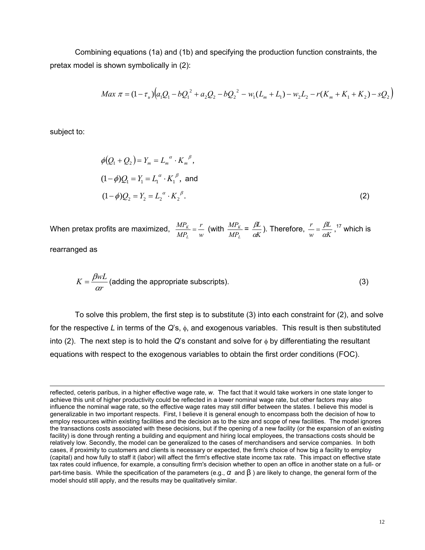Combining equations (1a) and (1b) and specifying the production function constraints, the pretax model is shown symbolically in (2):

$$
Max \ \pi = (1 - \tau_u) \Big( a_1 Q_1 - b Q_1^2 + a_2 Q_2 - b Q_2^2 - w_1 (L_m + L_1) - w_2 L_2 - r(K_m + K_1 + K_2) - s Q_2 \Big)
$$

subject to:

 $\overline{a}$ 

$$
\phi(Q_1 + Q_2) = Y_m = L_m^{\alpha} \cdot K_m^{\beta},
$$
  
(1- $\phi$ ) $Q_1 = Y_1 = L_1^{\alpha} \cdot K_1^{\beta}$ , and  
(1- $\phi$ ) $Q_2 = Y_2 = L_2^{\alpha} \cdot K_2^{\beta}$ . (2)

When pretax profits are maximized,  $\frac{mT_K}{MP_t} = \frac{m}{w}$ *r MP MP L*  $\frac{K}{\lambda} = \frac{I}{I}$  (with *L K MP*  $\frac{MP_K}{MP_L} = \frac{\beta L}{\alpha K}$ *L*  $\frac{\beta L}{\alpha K}$ ). Therefore,  $\frac{r}{w} = \frac{\beta L}{\alpha K}$ *w r*  $=\frac{\beta L}{\alpha K}$ ,<sup>17</sup> which is rearranged as

$$
K = \frac{\beta wL}{\alpha r}
$$
 (adding the appropriate subscripts). (3)

 To solve this problem, the first step is to substitute (3) into each constraint for (2), and solve for the respective *L* in terms of the *Q*'s, φ, and exogenous variables. This result is then substituted into (2). The next step is to hold the *Q*'s constant and solve for φ by differentiating the resultant equations with respect to the exogenous variables to obtain the first order conditions (FOC).

reflected, ceteris paribus, in a higher effective wage rate, *w*. The fact that it would take workers in one state longer to achieve this unit of higher productivity could be reflected in a lower nominal wage rate, but other factors may also influence the nominal wage rate, so the effective wage rates may still differ between the states. I believe this model is generalizable in two important respects. First, I believe it is general enough to encompass both the decision of how to employ resources within existing facilities and the decision as to the size and scope of new facilities. The model ignores the transactions costs associated with these decisions, but if the opening of a new facility (or the expansion of an existing facility) is done through renting a building and equipment and hiring local employees, the transactions costs should be relatively low. Secondly, the model can be generalized to the cases of merchandisers and service companies. In both cases, if proximity to customers and clients is necessary or expected, the firm's choice of how big a facility to employ (capital) and how fully to staff it (labor) will affect the firm's effective state income tax rate. This impact on effective state tax rates could influence, for example, a consulting firm's decision whether to open an office in another state on a full- or part-time basis. While the specification of the parameters (e.g., *α* and β ) are likely to change, the general form of the model should still apply, and the results may be qualitatively similar.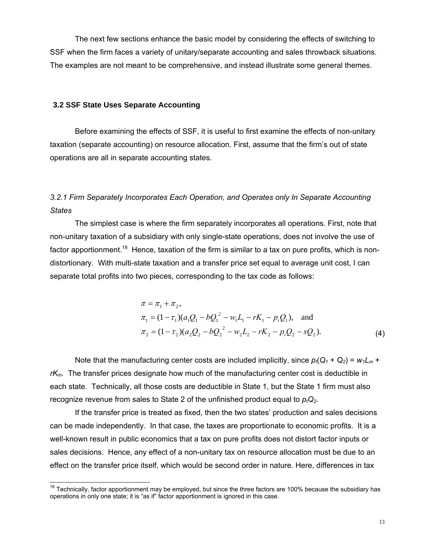The next few sections enhance the basic model by considering the effects of switching to SSF when the firm faces a variety of unitary/separate accounting and sales throwback situations. The examples are not meant to be comprehensive, and instead illustrate some general themes.

### **3.2 SSF State Uses Separate Accounting**

 $\overline{a}$ 

 Before examining the effects of SSF, it is useful to first examine the effects of non-unitary taxation (separate accounting) on resource allocation. First, assume that the firm's out of state operations are all in separate accounting states.

## *3.2.1 Firm Separately Incorporates Each Operation, and Operates only In Separate Accounting States*

The simplest case is where the firm separately incorporates all operations. First, note that non-unitary taxation of a subsidiary with only single-state operations, does not involve the use of factor apportionment.<sup>18</sup> Hence, taxation of the firm is similar to a tax on pure profits, which is nondistortionary. With multi-state taxation and a transfer price set equal to average unit cost, I can separate total profits into two pieces, corresponding to the tax code as follows:

$$
\pi = \pi_1 + \pi_2,
$$
  
\n
$$
\pi_1 = (1 - \tau_1)(a_1Q_1 - bQ_1^2 - w_1L_1 - rK_1 - p_1Q_1),
$$
 and  
\n
$$
\pi_2 = (1 - \tau_2)(a_2Q_2 - bQ_2^2 - w_2L_2 - rK_2 - p_1Q_2 - sQ_2).
$$
 (4)

Note that the manufacturing center costs are included implicitly, since  $p_t(Q_t + Q_2) = w_t L_m +$ *rKm*. The transfer prices designate how much of the manufacturing center cost is deductible in each state. Technically, all those costs are deductible in State 1, but the State 1 firm must also recognize revenue from sales to State 2 of the unfinished product equal to  $p_{t}Q_{2}$ .

 If the transfer price is treated as fixed, then the two states' production and sales decisions can be made independently. In that case, the taxes are proportionate to economic profits. It is a well-known result in public economics that a tax on pure profits does not distort factor inputs or sales decisions. Hence, any effect of a non-unitary tax on resource allocation must be due to an effect on the transfer price itself, which would be second order in nature. Here, differences in tax

 $18$  Technically, factor apportionment may be employed, but since the three factors are 100% because the subsidiary has operations in only one state; it is "as if" factor apportionment is ignored in this case.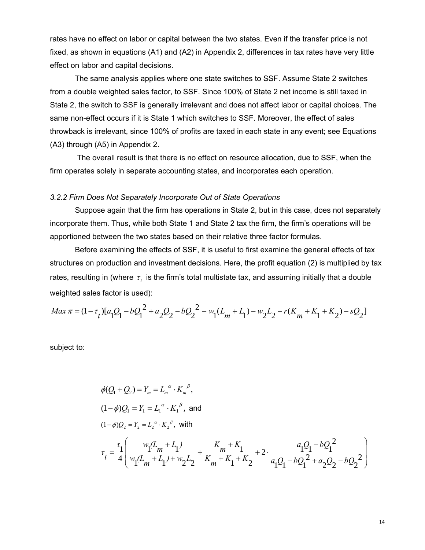rates have no effect on labor or capital between the two states. Even if the transfer price is not fixed, as shown in equations (A1) and (A2) in Appendix 2, differences in tax rates have very little effect on labor and capital decisions.

The same analysis applies where one state switches to SSF. Assume State 2 switches from a double weighted sales factor, to SSF. Since 100% of State 2 net income is still taxed in State 2, the switch to SSF is generally irrelevant and does not affect labor or capital choices. The same non-effect occurs if it is State 1 which switches to SSF. Moreover, the effect of sales throwback is irrelevant, since 100% of profits are taxed in each state in any event; see Equations (A3) through (A5) in Appendix 2.

 The overall result is that there is no effect on resource allocation, due to SSF, when the firm operates solely in separate accounting states, and incorporates each operation.

#### *3.2.2 Firm Does Not Separately Incorporate Out of State Operations*

Suppose again that the firm has operations in State 2, but in this case, does not separately incorporate them. Thus, while both State 1 and State 2 tax the firm, the firm's operations will be apportioned between the two states based on their relative three factor formulas.

 Before examining the effects of SSF, it is useful to first examine the general effects of tax structures on production and investment decisions. Here, the profit equation (2) is multiplied by tax rates, resulting in (where  $\tau_t$  is the firm's total multistate tax, and assuming initially that a double weighted sales factor is used):

$$
Max \pi = (1 - \tau_t) [a_1 Q_1 - bQ_1^2 + a_2 Q_2 - bQ_2^2 - w_1 (L_m + L_1) - w_2 L_2 - r(K_m + K_1 + K_2) - sQ_2]
$$

subject to:

$$
\phi(Q_1 + Q_2) = Y_m = L_m^{\alpha} \cdot K_m^{\beta},
$$
  
\n
$$
(1 - \phi)Q_1 = Y_1 = L_1^{\alpha} \cdot K_1^{\beta}, \text{ and}
$$
  
\n
$$
(1 - \phi)Q_2 = Y_2 = L_2^{\alpha} \cdot K_2^{\beta}, \text{ with}
$$
  
\n
$$
\tau_t = \frac{\tau_1}{4} \left( \frac{w_1(L_m + L_1)}{w_1(L_m + L_1) + w_2 L_2} + \frac{K_m + K_1}{K_m + K_1 + K_2} + 2 \cdot \frac{a_1 Q_1 - bQ_1^2}{a_1 Q_1 - bQ_1^2 + a_2 Q_2 - bQ_2^2} \right)
$$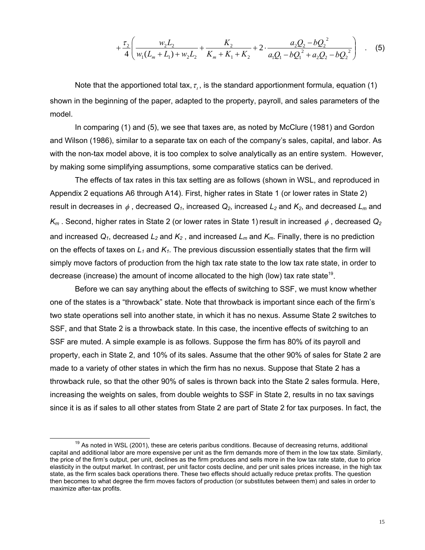$$
+\frac{\tau_2}{4}\left(\frac{w_2L_2}{w_1(L_m+L_1)+w_2L_2}+\frac{K_2}{K_m+K_1+K_2}+2\cdot\frac{a_2Q_2-bQ_2^2}{a_1Q_1-bQ_1^2+a_2Q_2-bQ_2^2}\right) \quad . \quad (5)
$$

Note that the apportioned total tax,  $\tau$ , is the standard apportionment formula, equation (1) shown in the beginning of the paper, adapted to the property, payroll, and sales parameters of the model.

 In comparing (1) and (5), we see that taxes are, as noted by McClure (1981) and Gordon and Wilson (1986), similar to a separate tax on each of the company's sales, capital, and labor. As with the non-tax model above, it is too complex to solve analytically as an entire system. However, by making some simplifying assumptions, some comparative statics can be derived.

The effects of tax rates in this tax setting are as follows (shown in WSL, and reproduced in Appendix 2 equations A6 through A14). First, higher rates in State 1 (or lower rates in State 2) result in decreases in  $\phi$ , decreased  $Q_1$ , increased  $Q_2$ , increased  $L_2$  and  $K_2$ , and decreased  $L_m$  and  $K_m$ . Second, higher rates in State 2 (or lower rates in State 1) result in increased  $\phi$ , decreased  $Q_2$ and increased  $Q_1$ , decreased  $L_2$  and  $K_2$ , and increased  $L_m$  and  $K_m$ . Finally, there is no prediction on the effects of taxes on *L1* and *K1*. The previous discussion essentially states that the firm will simply move factors of production from the high tax rate state to the low tax rate state, in order to decrease (increase) the amount of income allocated to the high (low) tax rate state<sup>19</sup>.

Before we can say anything about the effects of switching to SSF, we must know whether one of the states is a "throwback" state. Note that throwback is important since each of the firm's two state operations sell into another state, in which it has no nexus. Assume State 2 switches to SSF, and that State 2 is a throwback state. In this case, the incentive effects of switching to an SSF are muted. A simple example is as follows. Suppose the firm has 80% of its payroll and property, each in State 2, and 10% of its sales. Assume that the other 90% of sales for State 2 are made to a variety of other states in which the firm has no nexus. Suppose that State 2 has a throwback rule, so that the other 90% of sales is thrown back into the State 2 sales formula. Here, increasing the weights on sales, from double weights to SSF in State 2, results in no tax savings since it is as if sales to all other states from State 2 are part of State 2 for tax purposes. In fact, the

 $19$  As noted in WSL (2001), these are ceteris paribus conditions. Because of decreasing returns, additional capital and additional labor are more expensive per unit as the firm demands more of them in the low tax state. Similarly, the price of the firm's output, per unit, declines as the firm produces and sells more in the low tax rate state, due to price elasticity in the output market. In contrast, per unit factor costs decline, and per unit sales prices increase, in the high tax state, as the firm scales back operations there. These two effects should actually reduce pretax profits. The question then becomes to what degree the firm moves factors of production (or substitutes between them) and sales in order to maximize after-tax profits.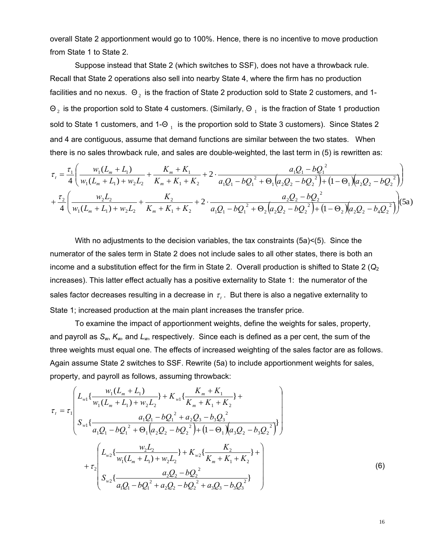overall State 2 apportionment would go to 100%. Hence, there is no incentive to move production from State 1 to State 2.

Suppose instead that State 2 (which switches to SSF), does not have a throwback rule. Recall that State 2 operations also sell into nearby State 4, where the firm has no production facilities and no nexus.  $\Theta_2$  is the fraction of State 2 production sold to State 2 customers, and 1- $\Theta_2$  is the proportion sold to State 4 customers. (Similarly,  $\Theta_1$  is the fraction of State 1 production sold to State 1 customers, and 1- $\Theta_1$  is the proportion sold to State 3 customers). Since States 2 and 4 are contiguous, assume that demand functions are similar between the two states. When there is no sales throwback rule, and sales are double-weighted, the last term in (5) is rewritten as:

$$
\tau_{t} = \frac{\tau_{1}}{4} \left( \frac{w_{1}(L_{m} + L_{1})}{w_{1}(L_{m} + L_{1}) + w_{2}L_{2}} + \frac{K_{m} + K_{1}}{K_{m} + K_{1} + K_{2}} + 2 \cdot \frac{a_{1}Q_{1} - bQ_{1}^{2}}{a_{1}Q_{1} - bQ_{1}^{2} + \Theta_{1}(a_{2}Q_{2} - bQ_{2}^{2}) + (1 - \Theta_{1})(a_{2}Q_{2} - bQ_{2}^{2})} \right) + \frac{\tau_{2}}{4} \left( \frac{w_{2}L_{2}}{w_{1}(L_{m} + L_{1}) + w_{2}L_{2}} + \frac{K_{2}}{K_{m} + K_{1} + K_{2}} + 2 \cdot \frac{a_{2}Q_{2} - bQ_{2}^{2}}{a_{1}Q_{1} - bQ_{1}^{2} + \Theta_{2}(a_{2}Q_{2} - bQ_{2}^{2}) + (1 - \Theta_{2})(a_{2}Q_{2} - b_{4}Q_{2}^{2})} \right) (5a)
$$

With no adjustments to the decision variables, the tax constraints (5a)<(5). Since the numerator of the sales term in State 2 does not include sales to all other states, there is both an income and a substitution effect for the firm in State 2. Overall production is shifted to State 2 ( $Q<sub>2</sub>$ increases). This latter effect actually has a positive externality to State 1: the numerator of the sales factor decreases resulting in a decrease in  $\tau$ . But there is also a negative externality to State 1; increased production at the main plant increases the transfer price.

To examine the impact of apportionment weights, define the weights for sales, property, and payroll as *Sw*, *Kw,* and *Lw*, respectively. Since each is defined as a per cent, the sum of the three weights must equal one. The effects of increased weighting of the sales factor are as follows. Again assume State 2 switches to SSF. Rewrite (5a) to include apportionment weights for sales, property, and payroll as follows, assuming throwback:

$$
\tau_{t} = \tau_{1} \left( L_{w1} \left\{ \frac{w_{1}(L_{m} + L_{1})}{w_{1}(L_{m} + L_{1}) + w_{2}L_{2}} \right\} + K_{w1} \left\{ \frac{K_{m} + K_{1}}{K_{m} + K_{1} + K_{2}} \right\} + L_{w1} \left\{ \frac{a_{1}Q_{1} - bQ_{1}^{2} + a_{2}Q_{3} - b_{3}Q_{3}^{2}}{a_{1}Q_{1} - bQ_{1}^{2} + \Theta_{1}(a_{2}Q_{2} - bQ_{2}^{2}) + (1 - \Theta_{1})(a_{3}Q_{2} - b_{3}Q_{2}^{2})} \right\} \right) + \tau_{2} \left( L_{w2} \left\{ \frac{w_{2}L_{2}}{w_{1}(L_{m} + L_{1}) + w_{2}L_{2}} \right\} + K_{w2} \left\{ \frac{K_{2}}{K_{m} + K_{1} + K_{2}} \right\} + L_{w2} \left\{ \frac{a_{2}Q_{2} - bQ_{2}^{2}}{a_{1}Q_{1} - bQ_{1}^{2} + a_{2}Q_{2} - bQ_{2}^{2} + a_{3}Q_{3} - b_{3}Q_{3}^{2}} \right\} \right) \right)
$$
\n(6)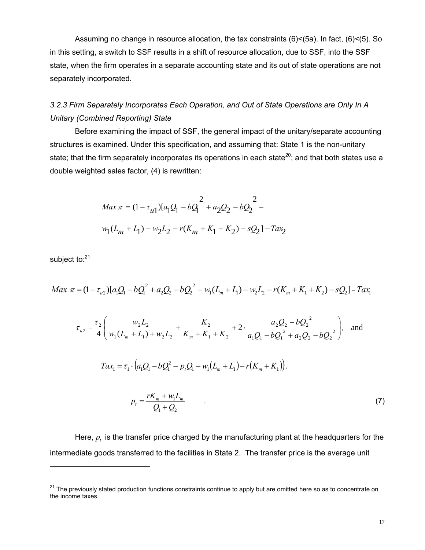Assuming no change in resource allocation, the tax constraints (6)<(5a). In fact, (6)<(5). So in this setting, a switch to SSF results in a shift of resource allocation, due to SSF, into the SSF state, when the firm operates in a separate accounting state and its out of state operations are not separately incorporated.

## *3.2.3 Firm Separately Incorporates Each Operation, and Out of State Operations are Only In A Unitary (Combined Reporting) State*

Before examining the impact of SSF, the general impact of the unitary/separate accounting structures is examined. Under this specification, and assuming that: State 1 is the non-unitary state; that the firm separately incorporates its operations in each state<sup>20</sup>; and that both states use a double weighted sales factor, (4) is rewritten:

$$
Max \pi = (1 - \tau_{u1})[a_1Q_1 - bQ_1^2 + a_2Q_2 - bQ_2^2 -
$$
  

$$
w_1(L_m + L_1) - w_2L_2 - r(K_m + K_1 + K_2) - sQ_2] - Ta x_2
$$

subject to:<sup>21</sup>

 $\overline{a}$ 

$$
Max \ \pi = (1 - \tau_{u2})[a_1Q_1 - bQ_1^2 + a_2Q_2 - bQ_2^2 - w_1(L_m + L_1) - w_2L_2 - r(K_m + K_1 + K_2) - sQ_2] - Tax_1,
$$

$$
\tau_{u2} = \frac{\tau_2}{4} \left( \frac{w_2 L_2}{w_1 (L_m + L_1) + w_2 L_2} + \frac{K_2}{K_m + K_1 + K_2} + 2 \cdot \frac{a_2 Q_2 - bQ_2^2}{a_1 Q_1 - bQ_1^2 + a_2 Q_2 - bQ_2^2} \right), \text{ and}
$$
  

$$
Tax_1 = \tau_1 \cdot \left( a_1 Q_1 - bQ_1^2 - p_1 Q_1 - w_1 (L_m + L_1) - r(K_m + K_1) \right).
$$
  

$$
p_t = \frac{rK_m + w_1 L_m}{Q_1 + Q_2} \tag{7}
$$

Here,  $p<sub>t</sub>$  is the transfer price charged by the manufacturing plant at the headquarters for the intermediate goods transferred to the facilities in State 2. The transfer price is the average unit

<sup>&</sup>lt;sup>21</sup> The previously stated production functions constraints continue to apply but are omitted here so as to concentrate on the income taxes.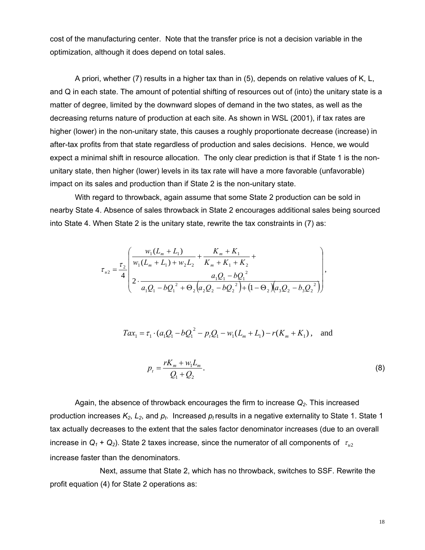cost of the manufacturing center. Note that the transfer price is not a decision variable in the optimization, although it does depend on total sales.

A priori, whether (7) results in a higher tax than in (5), depends on relative values of K, L, and Q in each state. The amount of potential shifting of resources out of (into) the unitary state is a matter of degree, limited by the downward slopes of demand in the two states, as well as the decreasing returns nature of production at each site. As shown in WSL (2001), if tax rates are higher (lower) in the non-unitary state, this causes a roughly proportionate decrease (increase) in after-tax profits from that state regardless of production and sales decisions. Hence, we would expect a minimal shift in resource allocation. The only clear prediction is that if State 1 is the nonunitary state, then higher (lower) levels in its tax rate will have a more favorable (unfavorable) impact on its sales and production than if State 2 is the non-unitary state.

 With regard to throwback, again assume that some State 2 production can be sold in nearby State 4. Absence of sales throwback in State 2 encourages additional sales being sourced into State 4. When State 2 is the unitary state, rewrite the tax constraints in (7) as:

$$
\tau_{u2} = \frac{\tau_2}{4} \left( \frac{w_1 (L_m + L_1)}{w_1 (L_m + L_1) + w_2 L_2} + \frac{K_m + K_1}{K_m + K_1 + K_2} + \frac{a_1 Q_1 - b Q_1^2}{w_1 Q_1 - b Q_1^2 + \Theta_2 \left(a_2 Q_2 - b Q_2^2\right) + \left(1 - \Theta_2\right) \left(a_3 Q_2 - b_3 Q_2^2\right)} \right),
$$

$$
Tax_1 = \tau_1 \cdot (a_1Q_1 - bQ_1^2 - p_tQ_1 - w_1(L_m + L_1) - r(K_m + K_1)),
$$
 and

$$
p_t = \frac{rK_m + w_1 L_m}{Q_1 + Q_2}.
$$
\n(8)

 Again, the absence of throwback encourages the firm to increase *Q2*. This increased production increases  $K_2$ ,  $L_2$ , and  $p_t$ . Increased  $p_t$  results in a negative externality to State 1. State 1 tax actually decreases to the extent that the sales factor denominator increases (due to an overall increase in  $Q_1 + Q_2$ ). State 2 taxes increase, since the numerator of all components of  $\tau_{u2}$ increase faster than the denominators.

 Next, assume that State 2, which has no throwback, switches to SSF. Rewrite the profit equation (4) for State 2 operations as: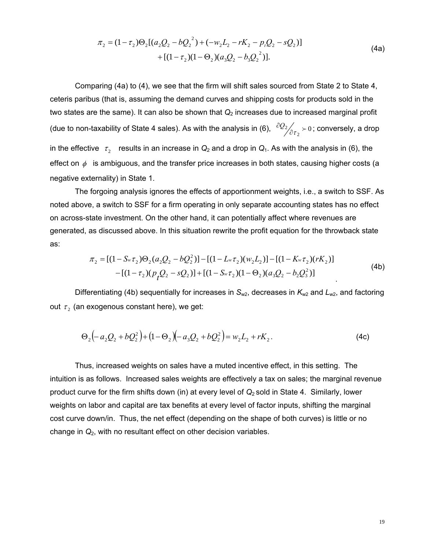$$
\pi_2 = (1 - \tau_2)\Theta_2[(a_2Q_2 - bQ_2^2) + (-w_2L_2 - rK_2 - p_tQ_2 - sQ_2)]
$$
  
+ 
$$
[(1 - \tau_2)(1 - \Theta_2)(a_3Q_2 - b_3Q_2^2)].
$$
\n(4a)

 Comparing (4a) to (4), we see that the firm will shift sales sourced from State 2 to State 4, ceteris paribus (that is, assuming the demand curves and shipping costs for products sold in the two states are the same). It can also be shown that  $Q<sub>2</sub>$  increases due to increased marginal profit (due to non-taxability of State 4 sales). As with the analysis in (6),  $\frac{\partial Q_2}{\partial \tau_2}\succ 0$ ; conversely, a drop in the effective  $\tau_2$  results in an increase in  $Q_2$  and a drop in  $Q_1$ . As with the analysis in (6), the effect on  $\phi$  is ambiguous, and the transfer price increases in both states, causing higher costs (a negative externality) in State 1.

 The forgoing analysis ignores the effects of apportionment weights, i.e., a switch to SSF. As noted above, a switch to SSF for a firm operating in only separate accounting states has no effect on across-state investment. On the other hand, it can potentially affect where revenues are generated, as discussed above. In this situation rewrite the profit equation for the throwback state as:

$$
\pi_2 = [(1 - S_w \tau_2) \Theta_2 (a_2 Q_2 - b Q_2^2)] - [(1 - L_w \tau_2)(w_2 L_2)] - [(1 - K_w \tau_2)(rK_2)]
$$
  
- [(1 - \tau\_2)(p\_1 Q\_2 - sQ\_2)] + [(1 - S\_w \tau\_2)(1 - \Theta\_2)(a\_3 Q\_2 - b\_2 Q\_3^2)] (4b)

Differentiating (4b) sequentially for increases in *S<sub>w2</sub>*, decreases in *K<sub>w2</sub>* and *L<sub>w2</sub>*, and factoring out  $\tau_2$  (an exogenous constant here), we get:

$$
\Theta_2(-a_2Q_2+bQ_2^2)+(1-\Theta_2)(-a_3Q_2+bQ_2^2)=w_2L_2+rK_2.
$$
\n(4c)

 Thus, increased weights on sales have a muted incentive effect, in this setting. The intuition is as follows. Increased sales weights are effectively a tax on sales; the marginal revenue product curve for the firm shifts down (in) at every level of *Q*2 sold in State 4. Similarly, lower weights on labor and capital are tax benefits at every level of factor inputs, shifting the marginal cost curve down/in. Thus, the net effect (depending on the shape of both curves) is little or no change in *Q*2, with no resultant effect on other decision variables.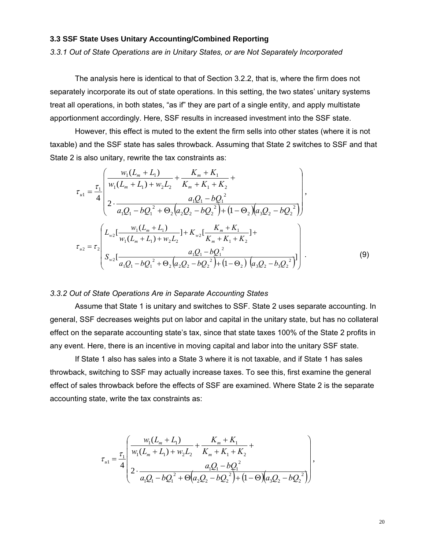### **3.3 SSF State Uses Unitary Accounting/Combined Reporting**

*3.3.1 Out of State Operations are in Unitary States, or are Not Separately Incorporated* 

The analysis here is identical to that of Section 3.2.2, that is, where the firm does not separately incorporate its out of state operations. In this setting, the two states' unitary systems treat all operations, in both states, "as if" they are part of a single entity, and apply multistate apportionment accordingly. Here, SSF results in increased investment into the SSF state.

However, this effect is muted to the extent the firm sells into other states (where it is not taxable) and the SSF state has sales throwback. Assuming that State 2 switches to SSF and that State 2 is also unitary, rewrite the tax constraints as:

$$
\tau_{u1} = \frac{\tau_1}{4} \left( \frac{w_1(L_m + L_1)}{w_1(L_m + L_1) + w_2 L_2} + \frac{K_m + K_1}{K_m + K_1 + K_2} + \frac{a_1 Q_1 - b Q_1^2}{R_1 (L_m + L_1) + w_2 L_2} \right),
$$
\n
$$
\tau_{u2} = \tau_2 \left( \frac{L_{w2} \left[ \frac{w_1(L_m + L_1)}{w_1(L_m + L_1) + w_2 L_2} \right] + K_{w2} \left[ \frac{K_m + K_1}{K_m + K_1 + K_2} \right] + \tau_{u2} = \tau_2 \left[ \frac{a_1 Q_1 - b Q_1^2}{s_1 (L_m + L_1) + w_2 L_2} \right] + \frac{a_1 Q_1 - b Q_1^2}{s_1 (L_m + L_1) + s_2 L_2} \right). \tag{9}
$$

#### *3.3.2 Out of State Operations Are in Separate Accounting States*

Assume that State 1 is unitary and switches to SSF. State 2 uses separate accounting. In general, SSF decreases weights put on labor and capital in the unitary state, but has no collateral effect on the separate accounting state's tax, since that state taxes 100% of the State 2 profits in any event. Here, there is an incentive in moving capital and labor into the unitary SSF state.

If State 1 also has sales into a State 3 where it is not taxable, and if State 1 has sales throwback, switching to SSF may actually increase taxes. To see this, first examine the general effect of sales throwback before the effects of SSF are examined. Where State 2 is the separate accounting state, write the tax constraints as:

$$
\tau_{u1} = \frac{\tau_1}{4} \left( \frac{w_1(L_m + L_1)}{w_1(L_m + L_1) + w_2 L_2} + \frac{K_m + K_1}{K_m + K_1 + K_2} + \frac{a_1 Q_1 - b Q_1^2}{w_1 Q_1 - b Q_1^2 + \Theta \left(a_2 Q_2 - b Q_2^2\right) + \left(1 - \Theta\right) \left(a_3 Q_2 - b Q_2^2\right)} \right),
$$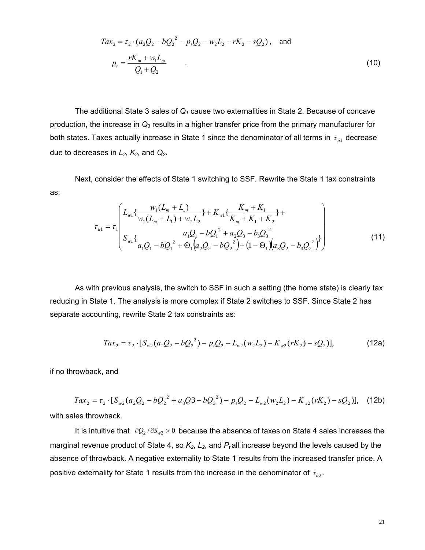$$
Tax_2 = \tau_2 \cdot (a_2Q_2 - bQ_2^2 - p_1Q_2 - w_2L_2 - rK_2 - sQ_2), \text{ and}
$$
  
\n
$$
p_t = \frac{rK_m + w_1L_m}{Q_1 + Q_2}.
$$
\n(10)

The additional State 3 sales of *Q1* cause two externalities in State 2. Because of concave production, the increase in *Q3* results in a higher transfer price from the primary manufacturer for both states. Taxes actually increase in State 1 since the denominator of all terms in  $\tau_{ul}$  decrease due to decreases in  $L_2$ ,  $K_2$ , and  $Q_2$ .

Next, consider the effects of State 1 switching to SSF. Rewrite the State 1 tax constraints as:

$$
\tau_{u1} = \tau_1 \left( \frac{L_{w1} \{ \frac{w_1 (L_m + L_1)}{w_1 (L_m + L_1) + w_2 L_2} \} + K_{w1} \{ \frac{K_m + K_1}{K_m + K_1 + K_2} \} + \frac{a_1 Q_1 - b Q_1^2 + a_2 Q_3 - b_3 Q_3^2}{a_1 Q_1 - b Q_1^2 + \Theta_1 (a_2 Q_2 - b Q_2^2) + (1 - \Theta_1) (a_3 Q_2 - b_3 Q_2^2)} \right)
$$
(11)

As with previous analysis, the switch to SSF in such a setting (the home state) is clearly tax reducing in State 1. The analysis is more complex if State 2 switches to SSF. Since State 2 has separate accounting, rewrite State 2 tax constraints as:

$$
Tax_2 = \tau_2 \cdot [S_{w2}(a_2Q_2 - bQ_2^2) - p_tQ_2 - L_{w2}(w_2L_2) - K_{w2}(rK_2) - sQ_2)],
$$
\n(12a)

if no throwback, and

 $Tax_2 = \tau_2 \cdot [S_{w2}(a_2Q_2 - bQ_2^2 + a_3Q3 - bQ_3^2) - p_1Q_2 - L_{w2}(w_2L_2) - K_{w2}(rK_2) - sQ_2)],$  $32 - 023$  $Tax_2 = \tau_2 \cdot [S_{w2}(a_2Q_2 - bQ_2^2 + a_3Q^2 - bQ_3^2) - p_tQ_2 - L_{w2}(w_2L_2) - K_{w2}(rK_2) - sQ_2)],$  (12b) with sales throwback.

It is intuitive that  $\partial Q_2 / \partial S_{w2} > 0$  because the absence of taxes on State 4 sales increases the marginal revenue product of State 4, so  $K_2$ ,  $L_2$ , and  $P_t$  all increase beyond the levels caused by the absence of throwback. A negative externality to State 1 results from the increased transfer price. A positive externality for State 1 results from the increase in the denominator of  $\tau_{u2}$ .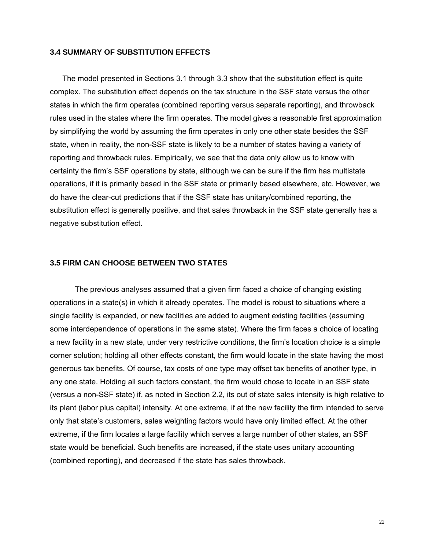#### **3.4 SUMMARY OF SUBSTITUTION EFFECTS**

The model presented in Sections 3.1 through 3.3 show that the substitution effect is quite complex. The substitution effect depends on the tax structure in the SSF state versus the other states in which the firm operates (combined reporting versus separate reporting), and throwback rules used in the states where the firm operates. The model gives a reasonable first approximation by simplifying the world by assuming the firm operates in only one other state besides the SSF state, when in reality, the non-SSF state is likely to be a number of states having a variety of reporting and throwback rules. Empirically, we see that the data only allow us to know with certainty the firm's SSF operations by state, although we can be sure if the firm has multistate operations, if it is primarily based in the SSF state or primarily based elsewhere, etc. However, we do have the clear-cut predictions that if the SSF state has unitary/combined reporting, the substitution effect is generally positive, and that sales throwback in the SSF state generally has a negative substitution effect.

#### **3.5 FIRM CAN CHOOSE BETWEEN TWO STATES**

The previous analyses assumed that a given firm faced a choice of changing existing operations in a state(s) in which it already operates. The model is robust to situations where a single facility is expanded, or new facilities are added to augment existing facilities (assuming some interdependence of operations in the same state). Where the firm faces a choice of locating a new facility in a new state, under very restrictive conditions, the firm's location choice is a simple corner solution; holding all other effects constant, the firm would locate in the state having the most generous tax benefits. Of course, tax costs of one type may offset tax benefits of another type, in any one state. Holding all such factors constant, the firm would chose to locate in an SSF state (versus a non-SSF state) if, as noted in Section 2.2, its out of state sales intensity is high relative to its plant (labor plus capital) intensity. At one extreme, if at the new facility the firm intended to serve only that state's customers, sales weighting factors would have only limited effect. At the other extreme, if the firm locates a large facility which serves a large number of other states, an SSF state would be beneficial. Such benefits are increased, if the state uses unitary accounting (combined reporting), and decreased if the state has sales throwback.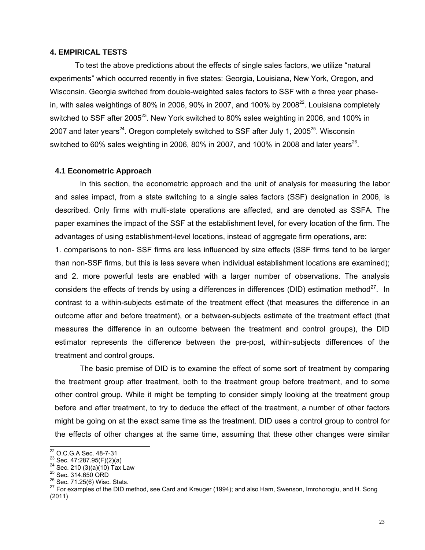#### **4. EMPIRICAL TESTS**

To test the above predictions about the effects of single sales factors, we utilize "natural experiments" which occurred recently in five states: Georgia, Louisiana, New York, Oregon, and Wisconsin. Georgia switched from double-weighted sales factors to SSF with a three year phasein, with sales weightings of 80% in 2006, 90% in 2007, and 100% by 2008 $^{22}$ . Louisiana completely switched to SSF after 2005<sup>23</sup>. New York switched to 80% sales weighting in 2006, and 100% in 2007 and later years<sup>24</sup>. Oregon completely switched to SSF after July 1, 2005<sup>25</sup>. Wisconsin switched to 60% sales weighting in 2006, 80% in 2007, and 100% in 2008 and later years<sup>26</sup>.

#### **4.1 Econometric Approach**

In this section, the econometric approach and the unit of analysis for measuring the labor and sales impact, from a state switching to a single sales factors (SSF) designation in 2006, is described. Only firms with multi-state operations are affected, and are denoted as SSFA. The paper examines the impact of the SSF at the establishment level, for every location of the firm. The advantages of using establishment-level locations, instead of aggregate firm operations, are:

1. comparisons to non- SSF firms are less influenced by size effects (SSF firms tend to be larger than non-SSF firms, but this is less severe when individual establishment locations are examined); and 2. more powerful tests are enabled with a larger number of observations. The analysis considers the effects of trends by using a differences in differences (DID) estimation method<sup>27</sup>. In contrast to a within-subjects estimate of the treatment effect (that measures the difference in an outcome after and before treatment), or a between-subjects estimate of the treatment effect (that measures the difference in an outcome between the treatment and control groups), the DID estimator represents the difference between the pre-post, within-subjects differences of the treatment and control groups.

The basic premise of DID is to examine the effect of some sort of treatment by comparing the treatment group after treatment, both to the treatment group before treatment, and to some other control group. While it might be tempting to consider simply looking at the treatment group before and after treatment, to try to deduce the effect of the treatment, a number of other factors might be going on at the exact same time as the treatment. DID uses a control group to control for the effects of other changes at the same time, assuming that these other changes were similar

<sup>&</sup>lt;sup>22</sup> O.C.G.A Sec. 48-7-31

<sup>&</sup>lt;sup>23</sup> Sec. 47:287.95(F)(2)(a)<br>
<sup>24</sup> Sec. 210 (3)(a)(10) Tax Law<br>
<sup>25</sup> Sec. 314.650 ORD<br>
<sup>26</sup> Sec. 71.25(6) Wisc. Stats.<br>
<sup>26</sup> Sec. 71.25(6) Wisc. Stats. (2011)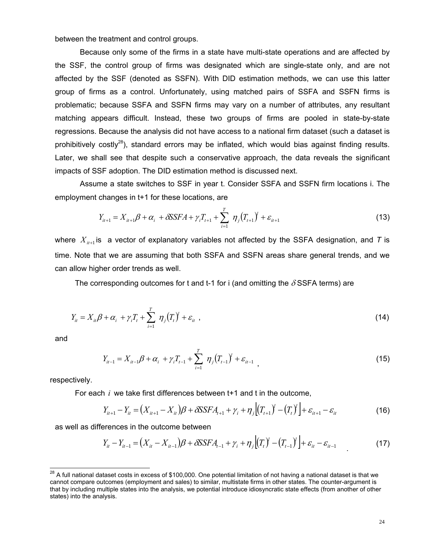between the treatment and control groups.

Because only some of the firms in a state have multi-state operations and are affected by the SSF, the control group of firms was designated which are single-state only, and are not affected by the SSF (denoted as SSFN). With DID estimation methods, we can use this latter group of firms as a control. Unfortunately, using matched pairs of SSFA and SSFN firms is problematic; because SSFA and SSFN firms may vary on a number of attributes, any resultant matching appears difficult. Instead, these two groups of firms are pooled in state-by-state regressions. Because the analysis did not have access to a national firm dataset (such a dataset is prohibitively costly<sup>28</sup>), standard errors may be inflated, which would bias against finding results. Later, we shall see that despite such a conservative approach, the data reveals the significant impacts of SSF adoption. The DID estimation method is discussed next.

Assume a state switches to SSF in year t. Consider SSFA and SSFN firm locations i. The employment changes in t+1 for these locations, are

$$
Y_{it+1} = X_{it+1}\beta + \alpha_i + \delta \mathcal{S} SFA + \gamma_i T_{t+1} + \sum_{i=1}^T \eta_j (T_{t+1})^j + \varepsilon_{it+1}
$$
\n(13)

where  $X_{i+1}$  is a vector of explanatory variables not affected by the SSFA designation, and T is time. Note that we are assuming that both SSFA and SSFN areas share general trends, and we can allow higher order trends as well.

The corresponding outcomes for t and t-1 for i (and omitting the  $\delta$ SSFA terms) are

$$
Y_{ii} = X_{ii}\beta + \alpha_i + \gamma_i T_t + \sum_{i=1}^T \eta_j (T_t)^j + \varepsilon_{ii} , \qquad (14)
$$

and

 $\overline{\phantom{a}}$ 

$$
Y_{it-1} = X_{it-1}\beta + \alpha_i + \gamma_i T_{t-1} + \sum_{i=1}^T \eta_j (T_{t-1})^j + \varepsilon_{it-1}, \qquad (15)
$$

respectively.

For each *i* we take first differences between t+1 and t in the outcome,

$$
Y_{it+1} - Y_{it} = (X_{it+1} - X_{it})\beta + \delta \text{S} SFA_{t+1} + \gamma_i + \eta_j \left[ (T_{t+1})^j - (T_t)^j \right] + \varepsilon_{it+1} - \varepsilon_{it}
$$
(16)

as well as differences in the outcome between

$$
Y_{it} - Y_{it-1} = (X_{it} - X_{it-1})\beta + \delta \mathcal{S} SFA_{t-1} + \gamma_i + \eta_j \left[ (T_t)^j - (T_{t-1})^j \right] + \varepsilon_{it} - \varepsilon_{it-1}
$$
(17)

 $^{28}$  A full national dataset costs in excess of \$100,000. One potential limitation of not having a national dataset is that we cannot compare outcomes (employment and sales) to similar, multistate firms in other states. The counter-argument is that by including multiple states into the analysis, we potential introduce idiosyncratic state effects (from another of other states) into the analysis.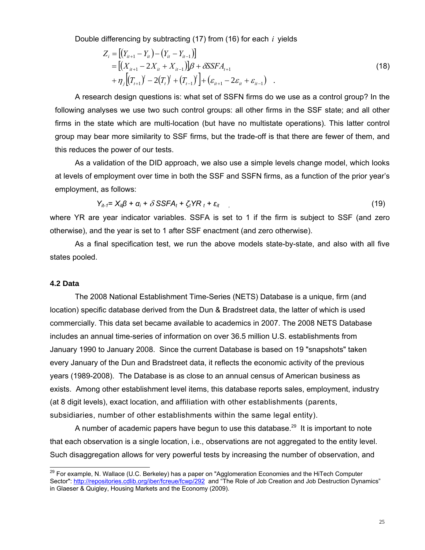Double differencing by subtracting (17) from (16) for each *i* yields

$$
Z_{i} = [(Y_{i_{t+1}} - Y_{i_{t}}) - (Y_{i_{t}} - Y_{i_{t-1}})]
$$
  
\n
$$
= [(X_{i_{t+1}} - 2X_{i_{t}} + X_{i_{t-1}})]\beta + \delta SSFA_{t+1}
$$
  
\n
$$
+ \eta_{j}[(T_{t+1})^{j} - 2(T_{t})^{j} + (T_{t-1})^{j}] + (\varepsilon_{i_{t+1}} - 2\varepsilon_{i_{t}} + \varepsilon_{i_{t-1}})
$$
\n(18)

 A research design questions is: what set of SSFN firms do we use as a control group? In the following analyses we use two such control groups: all other firms in the SSF state; and all other firms in the state which are multi-location (but have no multistate operations). This latter control group may bear more similarity to SSF firms, but the trade-off is that there are fewer of them, and this reduces the power of our tests.

 As a validation of the DID approach, we also use a simple levels change model, which looks at levels of employment over time in both the SSF and SSFN firms, as a function of the prior year's employment, as follows:

$$
Y_{it-1} = X_{it} \beta + \alpha_i + \delta \text{S} SFA_t + \zeta_t YR_t + \varepsilon_{it} \qquad (19)
$$

where YR are year indicator variables. SSFA is set to 1 if the firm is subject to SSF (and zero otherwise), and the year is set to 1 after SSF enactment (and zero otherwise).

 As a final specification test, we run the above models state-by-state, and also with all five states pooled.

### **4.2 Data**

 $\overline{\phantom{a}}$ 

The 2008 National Establishment Time-Series (NETS) Database is a unique, firm (and location) specific database derived from the Dun & Bradstreet data, the latter of which is used commercially. This data set became available to academics in 2007. The 2008 NETS Database includes an annual time-series of information on over 36.5 million U.S. establishments from January 1990 to January 2008. Since the current Database is based on 19 "snapshots" taken every January of the Dun and Bradstreet data, it reflects the economic activity of the previous years (1989-2008). The Database is as close to an annual census of American business as exists. Among other establishment level items, this database reports sales, employment, industry (at 8 digit levels), exact location, and affiliation with other establishments (parents, subsidiaries, number of other establishments within the same legal entity).

A number of academic papers have begun to use this database.<sup>29</sup> It is important to note that each observation is a single location, i.e., observations are not aggregated to the entity level. Such disaggregation allows for very powerful tests by increasing the number of observation, and

 $^{29}$  For example, N. Wallace (U.C. Berkeley) has a paper on "Agglomeration Economies and the HiTech Computer Sector": http://repositories.cdlib.org/iber/fcreue/fcwp/292 and "The Role of Job Creation and Job Destruction Dynamics" in Glaeser & Quigley, Housing Markets and the Economy (2009).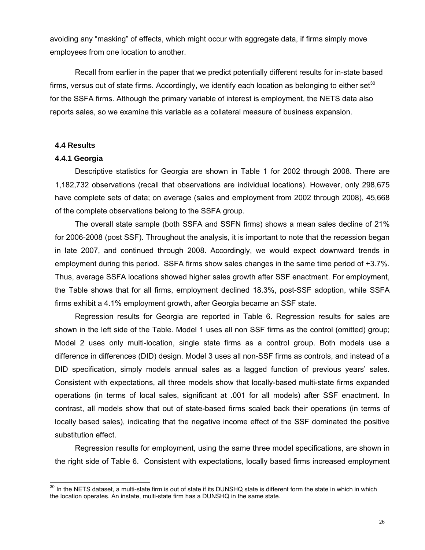avoiding any "masking" of effects, which might occur with aggregate data, if firms simply move employees from one location to another.

Recall from earlier in the paper that we predict potentially different results for in-state based firms, versus out of state firms. Accordingly, we identify each location as belonging to either set<sup>30</sup> for the SSFA firms. Although the primary variable of interest is employment, the NETS data also reports sales, so we examine this variable as a collateral measure of business expansion.

### **4.4 Results**

 $\overline{a}$ 

#### **4.4.1 Georgia**

Descriptive statistics for Georgia are shown in Table 1 for 2002 through 2008. There are 1,182,732 observations (recall that observations are individual locations). However, only 298,675 have complete sets of data; on average (sales and employment from 2002 through 2008), 45,668 of the complete observations belong to the SSFA group.

 The overall state sample (both SSFA and SSFN firms) shows a mean sales decline of 21% for 2006-2008 (post SSF). Throughout the analysis, it is important to note that the recession began in late 2007, and continued through 2008. Accordingly, we would expect downward trends in employment during this period. SSFA firms show sales changes in the same time period of +3.7%. Thus, average SSFA locations showed higher sales growth after SSF enactment. For employment, the Table shows that for all firms, employment declined 18.3%, post-SSF adoption, while SSFA firms exhibit a 4.1% employment growth, after Georgia became an SSF state.

 Regression results for Georgia are reported in Table 6. Regression results for sales are shown in the left side of the Table. Model 1 uses all non SSF firms as the control (omitted) group; Model 2 uses only multi-location, single state firms as a control group. Both models use a difference in differences (DID) design. Model 3 uses all non-SSF firms as controls, and instead of a DID specification, simply models annual sales as a lagged function of previous years' sales. Consistent with expectations, all three models show that locally-based multi-state firms expanded operations (in terms of local sales, significant at .001 for all models) after SSF enactment. In contrast, all models show that out of state-based firms scaled back their operations (in terms of locally based sales), indicating that the negative income effect of the SSF dominated the positive substitution effect.

 Regression results for employment, using the same three model specifications, are shown in the right side of Table 6. Consistent with expectations, locally based firms increased employment

 $30$  In the NETS dataset, a multi-state firm is out of state if its DUNSHQ state is different form the state in which in which the location operates. An instate, multi-state firm has a DUNSHQ in the same state.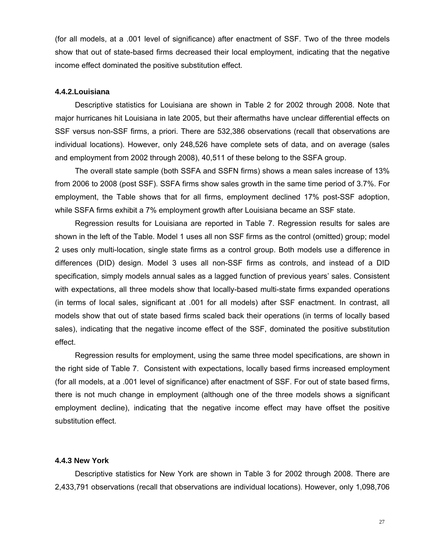(for all models, at a .001 level of significance) after enactment of SSF. Two of the three models show that out of state-based firms decreased their local employment, indicating that the negative income effect dominated the positive substitution effect.

#### **4.4.2.Louisiana**

Descriptive statistics for Louisiana are shown in Table 2 for 2002 through 2008. Note that major hurricanes hit Louisiana in late 2005, but their aftermaths have unclear differential effects on SSF versus non-SSF firms, a priori. There are 532,386 observations (recall that observations are individual locations). However, only 248,526 have complete sets of data, and on average (sales and employment from 2002 through 2008), 40,511 of these belong to the SSFA group.

 The overall state sample (both SSFA and SSFN firms) shows a mean sales increase of 13% from 2006 to 2008 (post SSF). SSFA firms show sales growth in the same time period of 3.7%. For employment, the Table shows that for all firms, employment declined 17% post-SSF adoption, while SSFA firms exhibit a 7% employment growth after Louisiana became an SSF state.

 Regression results for Louisiana are reported in Table 7. Regression results for sales are shown in the left of the Table. Model 1 uses all non SSF firms as the control (omitted) group; model 2 uses only multi-location, single state firms as a control group. Both models use a difference in differences (DID) design. Model 3 uses all non-SSF firms as controls, and instead of a DID specification, simply models annual sales as a lagged function of previous years' sales. Consistent with expectations, all three models show that locally-based multi-state firms expanded operations (in terms of local sales, significant at .001 for all models) after SSF enactment. In contrast, all models show that out of state based firms scaled back their operations (in terms of locally based sales), indicating that the negative income effect of the SSF, dominated the positive substitution effect.

 Regression results for employment, using the same three model specifications, are shown in the right side of Table 7. Consistent with expectations, locally based firms increased employment (for all models, at a .001 level of significance) after enactment of SSF. For out of state based firms, there is not much change in employment (although one of the three models shows a significant employment decline), indicating that the negative income effect may have offset the positive substitution effect.

### **4.4.3 New York**

Descriptive statistics for New York are shown in Table 3 for 2002 through 2008. There are 2,433,791 observations (recall that observations are individual locations). However, only 1,098,706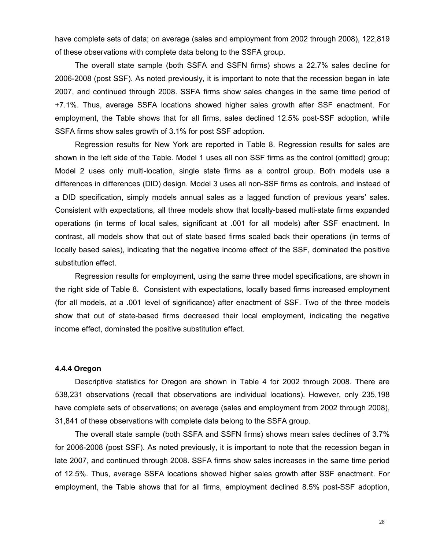have complete sets of data; on average (sales and employment from 2002 through 2008), 122,819 of these observations with complete data belong to the SSFA group.

 The overall state sample (both SSFA and SSFN firms) shows a 22.7% sales decline for 2006-2008 (post SSF). As noted previously, it is important to note that the recession began in late 2007, and continued through 2008. SSFA firms show sales changes in the same time period of +7.1%. Thus, average SSFA locations showed higher sales growth after SSF enactment. For employment, the Table shows that for all firms, sales declined 12.5% post-SSF adoption, while SSFA firms show sales growth of 3.1% for post SSF adoption.

 Regression results for New York are reported in Table 8. Regression results for sales are shown in the left side of the Table. Model 1 uses all non SSF firms as the control (omitted) group; Model 2 uses only multi-location, single state firms as a control group. Both models use a differences in differences (DID) design. Model 3 uses all non-SSF firms as controls, and instead of a DID specification, simply models annual sales as a lagged function of previous years' sales. Consistent with expectations, all three models show that locally-based multi-state firms expanded operations (in terms of local sales, significant at .001 for all models) after SSF enactment. In contrast, all models show that out of state based firms scaled back their operations (in terms of locally based sales), indicating that the negative income effect of the SSF, dominated the positive substitution effect.

 Regression results for employment, using the same three model specifications, are shown in the right side of Table 8. Consistent with expectations, locally based firms increased employment (for all models, at a .001 level of significance) after enactment of SSF. Two of the three models show that out of state-based firms decreased their local employment, indicating the negative income effect, dominated the positive substitution effect.

#### **4.4.4 Oregon**

Descriptive statistics for Oregon are shown in Table 4 for 2002 through 2008. There are 538,231 observations (recall that observations are individual locations). However, only 235,198 have complete sets of observations; on average (sales and employment from 2002 through 2008), 31,841 of these observations with complete data belong to the SSFA group.

 The overall state sample (both SSFA and SSFN firms) shows mean sales declines of 3.7% for 2006-2008 (post SSF). As noted previously, it is important to note that the recession began in late 2007, and continued through 2008. SSFA firms show sales increases in the same time period of 12.5%. Thus, average SSFA locations showed higher sales growth after SSF enactment. For employment, the Table shows that for all firms, employment declined 8.5% post-SSF adoption,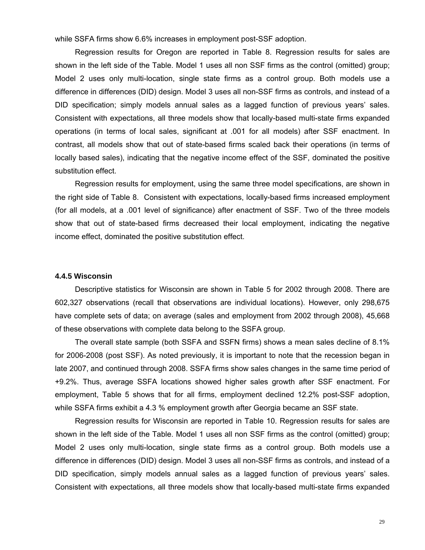while SSFA firms show 6.6% increases in employment post-SSF adoption.

 Regression results for Oregon are reported in Table 8. Regression results for sales are shown in the left side of the Table. Model 1 uses all non SSF firms as the control (omitted) group; Model 2 uses only multi-location, single state firms as a control group. Both models use a difference in differences (DID) design. Model 3 uses all non-SSF firms as controls, and instead of a DID specification; simply models annual sales as a lagged function of previous years' sales. Consistent with expectations, all three models show that locally-based multi-state firms expanded operations (in terms of local sales, significant at .001 for all models) after SSF enactment. In contrast, all models show that out of state-based firms scaled back their operations (in terms of locally based sales), indicating that the negative income effect of the SSF, dominated the positive substitution effect.

 Regression results for employment, using the same three model specifications, are shown in the right side of Table 8. Consistent with expectations, locally-based firms increased employment (for all models, at a .001 level of significance) after enactment of SSF. Two of the three models show that out of state-based firms decreased their local employment, indicating the negative income effect, dominated the positive substitution effect.

#### **4.4.5 Wisconsin**

Descriptive statistics for Wisconsin are shown in Table 5 for 2002 through 2008. There are 602,327 observations (recall that observations are individual locations). However, only 298,675 have complete sets of data; on average (sales and employment from 2002 through 2008), 45,668 of these observations with complete data belong to the SSFA group.

 The overall state sample (both SSFA and SSFN firms) shows a mean sales decline of 8.1% for 2006-2008 (post SSF). As noted previously, it is important to note that the recession began in late 2007, and continued through 2008. SSFA firms show sales changes in the same time period of +9.2%. Thus, average SSFA locations showed higher sales growth after SSF enactment. For employment, Table 5 shows that for all firms, employment declined 12.2% post-SSF adoption, while SSFA firms exhibit a 4.3 % employment growth after Georgia became an SSF state.

 Regression results for Wisconsin are reported in Table 10. Regression results for sales are shown in the left side of the Table. Model 1 uses all non SSF firms as the control (omitted) group; Model 2 uses only multi-location, single state firms as a control group. Both models use a difference in differences (DID) design. Model 3 uses all non-SSF firms as controls, and instead of a DID specification, simply models annual sales as a lagged function of previous years' sales. Consistent with expectations, all three models show that locally-based multi-state firms expanded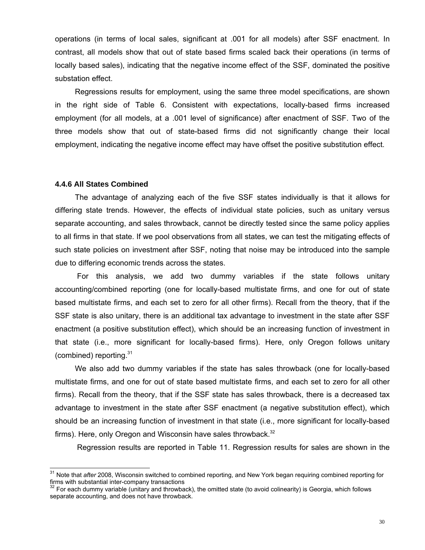operations (in terms of local sales, significant at .001 for all models) after SSF enactment. In contrast, all models show that out of state based firms scaled back their operations (in terms of locally based sales), indicating that the negative income effect of the SSF, dominated the positive substation effect.

 Regressions results for employment, using the same three model specifications, are shown in the right side of Table 6. Consistent with expectations, locally-based firms increased employment (for all models, at a .001 level of significance) after enactment of SSF. Two of the three models show that out of state-based firms did not significantly change their local employment, indicating the negative income effect may have offset the positive substitution effect.

#### **4.4.6 All States Combined**

 $\overline{\phantom{a}}$ 

The advantage of analyzing each of the five SSF states individually is that it allows for differing state trends. However, the effects of individual state policies, such as unitary versus separate accounting, and sales throwback, cannot be directly tested since the same policy applies to all firms in that state. If we pool observations from all states, we can test the mitigating effects of such state policies on investment after SSF, noting that noise may be introduced into the sample due to differing economic trends across the states.

 For this analysis, we add two dummy variables if the state follows unitary accounting/combined reporting (one for locally-based multistate firms, and one for out of state based multistate firms, and each set to zero for all other firms). Recall from the theory, that if the SSF state is also unitary, there is an additional tax advantage to investment in the state after SSF enactment (a positive substitution effect), which should be an increasing function of investment in that state (i.e., more significant for locally-based firms). Here, only Oregon follows unitary (combined) reporting. $31$ 

We also add two dummy variables if the state has sales throwback (one for locally-based multistate firms, and one for out of state based multistate firms, and each set to zero for all other firms). Recall from the theory, that if the SSF state has sales throwback, there is a decreased tax advantage to investment in the state after SSF enactment (a negative substitution effect), which should be an increasing function of investment in that state (i.e., more significant for locally-based firms). Here, only Oregon and Wisconsin have sales throwback.<sup>32</sup>

Regression results are reported in Table 11. Regression results for sales are shown in the

<sup>&</sup>lt;sup>31</sup> Note that after 2008, Wisconsin switched to combined reporting, and New York began requiring combined reporting for firms with substantial inter-company transactions

 $32$  For each dummy variable (unitary and throwback), the omitted state (to avoid colinearity) is Georgia, which follows separate accounting, and does not have throwback.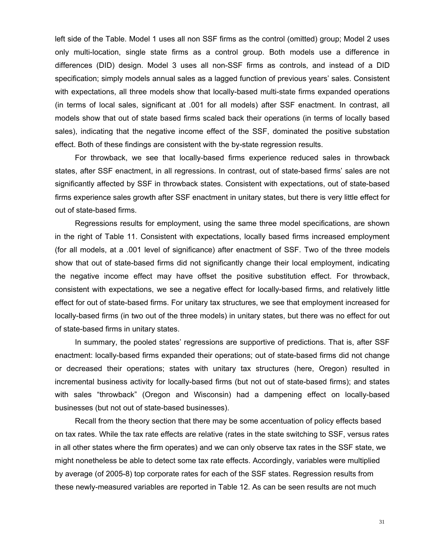left side of the Table. Model 1 uses all non SSF firms as the control (omitted) group; Model 2 uses only multi-location, single state firms as a control group. Both models use a difference in differences (DID) design. Model 3 uses all non-SSF firms as controls, and instead of a DID specification; simply models annual sales as a lagged function of previous years' sales. Consistent with expectations, all three models show that locally-based multi-state firms expanded operations (in terms of local sales, significant at .001 for all models) after SSF enactment. In contrast, all models show that out of state based firms scaled back their operations (in terms of locally based sales), indicating that the negative income effect of the SSF, dominated the positive substation effect. Both of these findings are consistent with the by-state regression results.

For throwback, we see that locally-based firms experience reduced sales in throwback states, after SSF enactment, in all regressions. In contrast, out of state-based firms' sales are not significantly affected by SSF in throwback states. Consistent with expectations, out of state-based firms experience sales growth after SSF enactment in unitary states, but there is very little effect for out of state-based firms.

Regressions results for employment, using the same three model specifications, are shown in the right of Table 11. Consistent with expectations, locally based firms increased employment (for all models, at a .001 level of significance) after enactment of SSF. Two of the three models show that out of state-based firms did not significantly change their local employment, indicating the negative income effect may have offset the positive substitution effect. For throwback, consistent with expectations, we see a negative effect for locally-based firms, and relatively little effect for out of state-based firms. For unitary tax structures, we see that employment increased for locally-based firms (in two out of the three models) in unitary states, but there was no effect for out of state-based firms in unitary states.

In summary, the pooled states' regressions are supportive of predictions. That is, after SSF enactment: locally-based firms expanded their operations; out of state-based firms did not change or decreased their operations; states with unitary tax structures (here, Oregon) resulted in incremental business activity for locally-based firms (but not out of state-based firms); and states with sales "throwback" (Oregon and Wisconsin) had a dampening effect on locally-based businesses (but not out of state-based businesses).

Recall from the theory section that there may be some accentuation of policy effects based on tax rates. While the tax rate effects are relative (rates in the state switching to SSF, versus rates in all other states where the firm operates) and we can only observe tax rates in the SSF state, we might nonetheless be able to detect some tax rate effects. Accordingly, variables were multiplied by average (of 2005-8) top corporate rates for each of the SSF states. Regression results from these newly-measured variables are reported in Table 12. As can be seen results are not much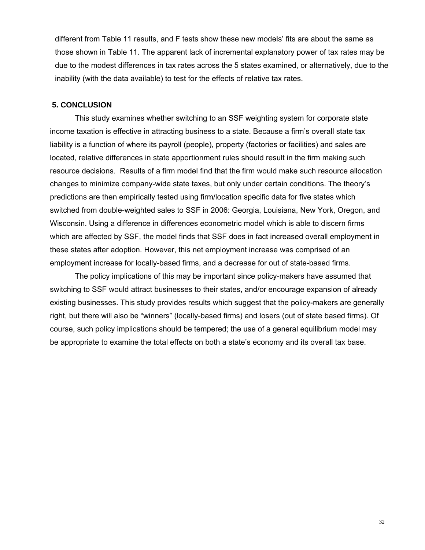different from Table 11 results, and F tests show these new models' fits are about the same as those shown in Table 11. The apparent lack of incremental explanatory power of tax rates may be due to the modest differences in tax rates across the 5 states examined, or alternatively, due to the inability (with the data available) to test for the effects of relative tax rates.

#### **5. CONCLUSION**

This study examines whether switching to an SSF weighting system for corporate state income taxation is effective in attracting business to a state. Because a firm's overall state tax liability is a function of where its payroll (people), property (factories or facilities) and sales are located, relative differences in state apportionment rules should result in the firm making such resource decisions. Results of a firm model find that the firm would make such resource allocation changes to minimize company-wide state taxes, but only under certain conditions. The theory's predictions are then empirically tested using firm/location specific data for five states which switched from double-weighted sales to SSF in 2006: Georgia, Louisiana, New York, Oregon, and Wisconsin. Using a difference in differences econometric model which is able to discern firms which are affected by SSF, the model finds that SSF does in fact increased overall employment in these states after adoption. However, this net employment increase was comprised of an employment increase for locally-based firms, and a decrease for out of state-based firms.

The policy implications of this may be important since policy-makers have assumed that switching to SSF would attract businesses to their states, and/or encourage expansion of already existing businesses. This study provides results which suggest that the policy-makers are generally right, but there will also be "winners" (locally-based firms) and losers (out of state based firms). Of course, such policy implications should be tempered; the use of a general equilibrium model may be appropriate to examine the total effects on both a state's economy and its overall tax base.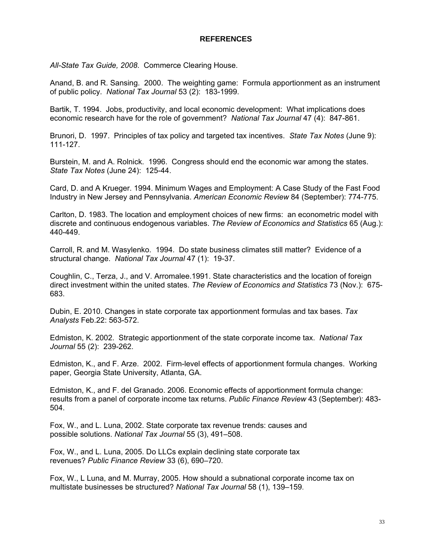### **REFERENCES**

*All-State Tax Guide, 2008*. Commerce Clearing House.

Anand, B. and R. Sansing. 2000. The weighting game: Formula apportionment as an instrument of public policy. *National Tax Journal* 53 (2): 183-1999.

Bartik, T. 1994. Jobs, productivity, and local economic development: What implications does economic research have for the role of government? *National Tax Journal* 47 (4): 847-861.

Brunori, D. 1997. Principles of tax policy and targeted tax incentives. *State Tax Notes* (June 9): 111-127.

Burstein, M. and A. Rolnick. 1996. Congress should end the economic war among the states. *State Tax Notes* (June 24): 125-44.

Card, D. and A Krueger. 1994. Minimum Wages and Employment: A Case Study of the Fast Food Industry in New Jersey and Pennsylvania. *American Economic Review* 84 (September): 774-775.

Carlton, D. 1983. The location and employment choices of new firms: an econometric model with discrete and continuous endogenous variables. *The Review of Economics and Statistics* 65 (Aug.): 440-449.

Carroll, R. and M. Wasylenko. 1994. Do state business climates still matter? Evidence of a structural change. *National Tax Journal* 47 (1): 19-37.

Coughlin, C., Terza, J., and V. Arromalee.1991. State characteristics and the location of foreign direct investment within the united states. *The Review of Economics and Statistics* 73 (Nov.): 675- 683.

Dubin, E. 2010. Changes in state corporate tax apportionment formulas and tax bases. *Tax Analysts* Feb.22: 563-572.

Edmiston, K. 2002. Strategic apportionment of the state corporate income tax. *National Tax Journal* 55 (2): 239-262.

Edmiston, K., and F. Arze. 2002. Firm-level effects of apportionment formula changes. Working paper, Georgia State University, Atlanta, GA.

Edmiston, K., and F. del Granado. 2006. Economic effects of apportionment formula change: results from a panel of corporate income tax returns. *Public Finance Review* 43 (September): 483- 504.

Fox, W., and L. Luna, 2002. State corporate tax revenue trends: causes and possible solutions. *National Tax Journal* 55 (3), 491–508.

Fox, W., and L. Luna, 2005. Do LLCs explain declining state corporate tax revenues? *Public Finance Review* 33 (6), 690–720.

Fox, W., L Luna, and M. Murray, 2005. How should a subnational corporate income tax on multistate businesses be structured? *National Tax Journal* 58 (1), 139–159.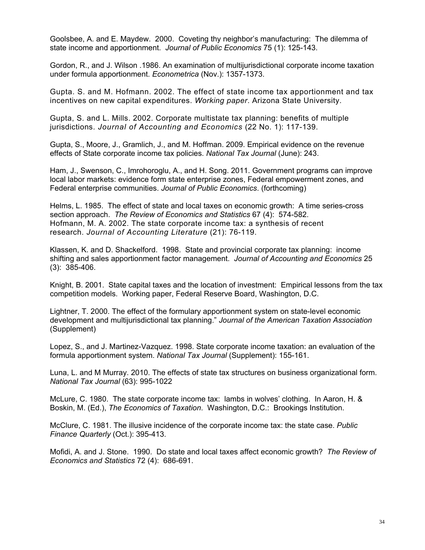Goolsbee, A. and E. Maydew. 2000. Coveting thy neighbor's manufacturing: The dilemma of state income and apportionment. *Journal of Public Economics* 75 (1): 125-143.

Gordon, R., and J. Wilson .1986. An examination of multijurisdictional corporate income taxation under formula apportionment. *Econometrica* (Nov.): 1357-1373.

Gupta. S. and M. Hofmann. 2002. The effect of state income tax apportionment and tax incentives on new capital expenditures. *Working paper*. Arizona State University.

Gupta, S. and L. Mills. 2002. Corporate multistate tax planning: benefits of multiple jurisdictions. *Journal of Accounting and Economics* (22 No. 1): 117-139.

Gupta, S., Moore, J., Gramlich, J., and M. Hoffman. 2009. Empirical evidence on the revenue effects of State corporate income tax policies. *National Tax Journal* (June): 243.

Ham, J., Swenson, C., Imrohoroglu, A., and H. Song. 2011. Government programs can improve local labor markets: evidence form state enterprise zones, Federal empowerment zones, and Federal enterprise communities. *Journal of Public Economics*. (forthcoming)

Helms, L. 1985. The effect of state and local taxes on economic growth: A time series-cross section approach. *The Review of Economics and Statistics* 67 (4): 574-582. Hofmann, M. A. 2002. The state corporate income tax: a synthesis of recent research. *Journal of Accounting Literature* (21): 76-119.

Klassen, K. and D. Shackelford. 1998. State and provincial corporate tax planning: income shifting and sales apportionment factor management. *Journal of Accounting and Economics* 25 (3): 385-406.

Knight, B. 2001. State capital taxes and the location of investment: Empirical lessons from the tax competition models. Working paper, Federal Reserve Board, Washington, D.C.

Lightner, T. 2000. The effect of the formulary apportionment system on state-level economic development and multijurisdictional tax planning." *Journal of the American Taxation Association* (Supplement)

Lopez, S., and J. Martinez-Vazquez. 1998. State corporate income taxation: an evaluation of the formula apportionment system. *National Tax Journal* (Supplement): 155-161.

Luna, L. and M Murray. 2010. The effects of state tax structures on business organizational form. *National Tax Journal* (63): 995-1022

McLure, C. 1980. The state corporate income tax: lambs in wolves' clothing. In Aaron, H. & Boskin, M. (Ed.), *The Economics of Taxation*. Washington, D.C.: Brookings Institution.

McClure, C. 1981. The illusive incidence of the corporate income tax: the state case. *Public Finance Quarterly* (Oct.): 395-413.

Mofidi, A. and J. Stone. 1990. Do state and local taxes affect economic growth? *The Review of Economics and Statistics* 72 (4): 686-691.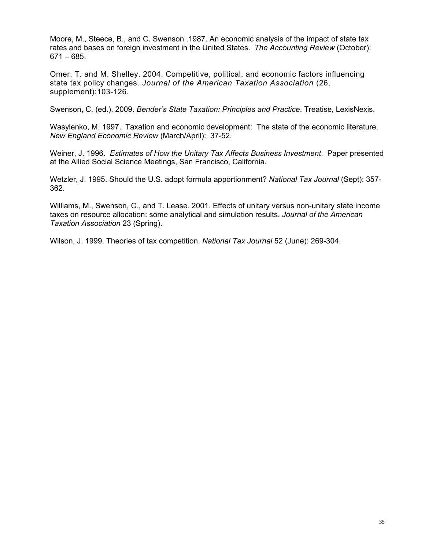Moore, M., Steece, B., and C. Swenson .1987. An economic analysis of the impact of state tax rates and bases on foreign investment in the United States. *The Accounting Review* (October): 671 – 685.

Omer, T. and M. Shelley. 2004. Competitive, political, and economic factors influencing state tax policy changes. *Journal of the American Taxation Association* (26, supplement):103-126.

Swenson, C. (ed.). 2009. *Bender's State Taxation: Principles and Practice*. Treatise, LexisNexis.

Wasylenko, M. 1997. Taxation and economic development: The state of the economic literature. *New England Economic Review* (March/April): 37-52.

Weiner, J. 1996. *Estimates of How the Unitary Tax Affects Business Investment*. Paper presented at the Allied Social Science Meetings, San Francisco, California.

Wetzler, J. 1995. Should the U.S. adopt formula apportionment? *National Tax Journal* (Sept): 357- 362.

Williams, M., Swenson, C., and T. Lease. 2001. Effects of unitary versus non-unitary state income taxes on resource allocation: some analytical and simulation results. *Journal of the American Taxation Association* 23 (Spring).

Wilson, J. 1999. Theories of tax competition. *National Tax Journal* 52 (June): 269-304.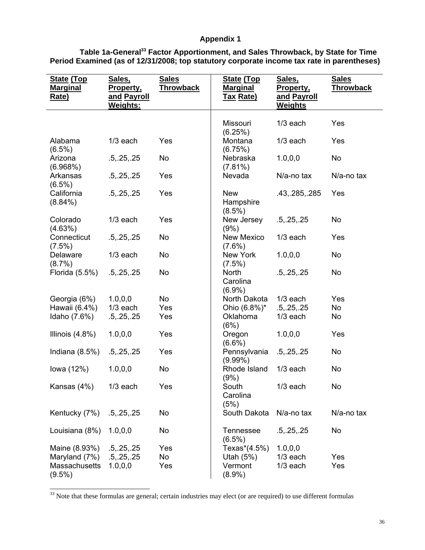## **Appendix 1**

| Table 1a-General <sup>33</sup> Factor Apportionment, and Sales Throwback, by State for Time |  |
|---------------------------------------------------------------------------------------------|--|
| Period Examined (as of 12/31/2008; top statutory corporate income tax rate in parentheses)  |  |

| <b>State (Top</b><br><b>Marginal</b><br>Rate) | Sales,<br><u>Property,</u><br><u>and Payroll</u><br>Weights: | <b>Sales</b><br><u>Throwback</u> | <b>State (Top</b><br><b>Marginal</b><br><u>Tax Rate)</u> | Sales,<br><u>Property,</u><br>and Payroll<br><b>Weights</b> | <b>Sales</b><br><b>Throwback</b> |
|-----------------------------------------------|--------------------------------------------------------------|----------------------------------|----------------------------------------------------------|-------------------------------------------------------------|----------------------------------|
|                                               |                                                              |                                  |                                                          |                                                             |                                  |
|                                               |                                                              |                                  | Missouri<br>(6.25%)                                      | $1/3$ each                                                  | Yes                              |
| Alabama<br>$(6.5\%)$                          | $1/3$ each                                                   | Yes                              | Montana<br>(6.75%)                                       | $1/3$ each                                                  | Yes                              |
| Arizona<br>(6.968%)                           | .5, .25, .25                                                 | No                               | Nebraska<br>$(7.81\%)$                                   | 1.0, 0, 0                                                   | No                               |
| Arkansas<br>$(6.5\%)$                         | .5, .25, .25                                                 | Yes                              | Nevada                                                   | N/a-no tax                                                  | N/a-no tax                       |
| California<br>$(8.84\%)$                      | .5, .25, .25                                                 | Yes                              | <b>New</b><br>Hampshire<br>$(8.5\%)$                     | .43,.285,.285                                               | Yes                              |
| Colorado<br>(4.63%)                           | $1/3$ each                                                   | Yes                              | New Jersey<br>(9%)                                       | .5, .25, .25                                                | No                               |
| Connecticut<br>$(7.5\%)$                      | .5, .25, .25                                                 | No                               | <b>New Mexico</b><br>$(7.6\%)$                           | $1/3$ each                                                  | Yes                              |
| Delaware<br>$(8.7\%)$                         | $1/3$ each                                                   | No                               | New York<br>$(7.5\%)$                                    | 1.0, 0, 0                                                   | No                               |
| Florida (5.5%)                                | .5, .25, .25                                                 | No                               | <b>North</b><br>Carolina<br>$(6.9\%)$                    | .5, .25, .25                                                | No                               |
| Georgia (6%)                                  | 1.0, 0, 0                                                    | No                               | North Dakota                                             | $1/3$ each                                                  | Yes                              |
| Hawaii (6.4%)                                 | $1/3$ each                                                   | Yes                              | Ohio (6.8%)*                                             | .5, .25, .25                                                | No                               |
| Idaho (7.6%)                                  | .5, .25, .25                                                 | Yes                              | Oklahoma<br>(6%)                                         | $1/3$ each                                                  | No                               |
| Illinois $(4.8\%)$                            | 1.0, 0, 0                                                    | Yes                              | Oregon<br>$(6.6\%)$                                      | 1.0, 0, 0                                                   | Yes                              |
| Indiana $(8.5%)$                              | .5, .25, .25                                                 | Yes                              | Pennsylvania<br>$(9.99\%)$                               | .5, .25, .25                                                | No                               |
| lowa (12%)                                    | 1.0, 0, 0                                                    | No                               | Rhode Island<br>(9%)                                     | $1/3$ each                                                  | No                               |
| Kansas (4%)                                   | $1/3$ each                                                   | Yes                              | South<br>Carolina<br>(5%)                                | $1/3$ each                                                  | No                               |
| Kentucky (7%)                                 | .5, .25, .25                                                 | No                               | South Dakota                                             | N/a-no tax                                                  | N/a-no tax                       |
| Louisiana (8%)                                | 1.0, 0, 0                                                    | No                               | <b>Tennessee</b><br>$(6.5\%)$                            | .5, .25, .25                                                | No                               |
| Maine (8.93%)                                 | .5, .25, .25                                                 | Yes                              | Texas*(4.5%)                                             | 1.0, 0, 0                                                   |                                  |
| Maryland (7%)                                 | .5, .25, .25                                                 | No                               | Utah $(5%)$                                              | $1/3$ each                                                  | Yes                              |
| Massachusetts<br>$(9.5\%)$                    | 1.0, 0, 0                                                    | Yes                              | Vermont<br>$(8.9\%)$                                     | $1/3$ each                                                  | Yes                              |

 $33$  Note that these formulas are general; certain industries may elect (or are required) to use different formulas

 $\overline{\phantom{a}}$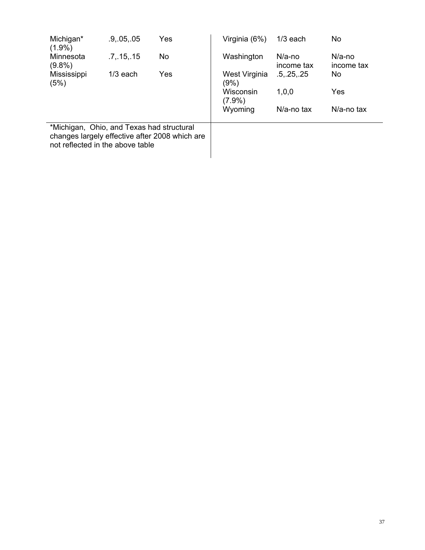| Michigan*<br>$(1.9\%)$                                                        | .9, .05, .05 | Yes                                            | Virginia (6%)            | $1/3$ each              | No                      |
|-------------------------------------------------------------------------------|--------------|------------------------------------------------|--------------------------|-------------------------|-------------------------|
| Minnesota<br>$(9.8\%)$                                                        | .7, .15, .15 | No.                                            | Washington               | $N/a$ -no<br>income tax | $N/a$ -no<br>income tax |
| Mississippi<br>(5%)                                                           | $1/3$ each   | Yes                                            | West Virginia<br>$(9\%)$ | .5, .25, .25            | No                      |
|                                                                               |              |                                                | Wisconsin<br>$(7.9\%)$   | 1,0,0                   | Yes                     |
|                                                                               |              |                                                | Wyoming                  | $N/a$ -no tax           | $N/a$ -no tax           |
| *Michigan, Ohio, and Texas had structural<br>not reflected in the above table |              | changes largely effective after 2008 which are |                          |                         |                         |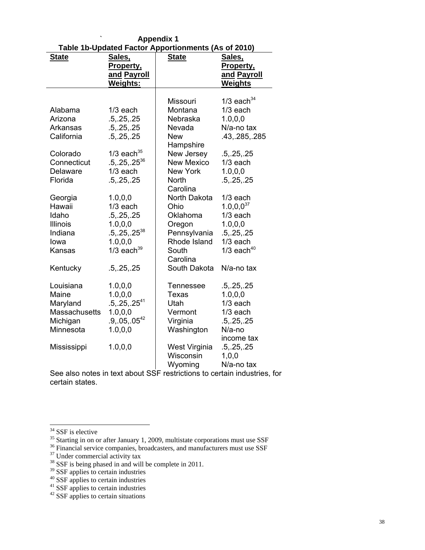| Table 1b-Updated Factor Apportionments (As of 2010) |                          |                   |                 |  |  |  |  |
|-----------------------------------------------------|--------------------------|-------------------|-----------------|--|--|--|--|
| <b>State</b>                                        | Sales,                   | <b>State</b>      | Sales,          |  |  |  |  |
|                                                     | Property,                |                   | Property,       |  |  |  |  |
|                                                     | and Payroll              |                   | and Payroll     |  |  |  |  |
|                                                     | Weights:                 |                   | <b>Weights</b>  |  |  |  |  |
|                                                     |                          |                   |                 |  |  |  |  |
|                                                     |                          | Missouri          | $1/3$ each $34$ |  |  |  |  |
| Alabama                                             | $1/3$ each               | Montana           | $1/3$ each      |  |  |  |  |
| Arizona                                             | .5, .25, .25             | Nebraska          | 1.0, 0.0        |  |  |  |  |
| Arkansas                                            | .5, .25, .25             | Nevada            | N/a-no tax      |  |  |  |  |
| California                                          | .5, .25, .25             | <b>New</b>        | .43,.285,.285   |  |  |  |  |
|                                                     |                          | Hampshire         |                 |  |  |  |  |
| Colorado                                            | $1/3$ each <sup>35</sup> | New Jersey        | .5, .25, .25    |  |  |  |  |
| Connecticut                                         | $.5, .25, .25^{36}$      | <b>New Mexico</b> | $1/3$ each      |  |  |  |  |
| Delaware                                            | $1/3$ each               | <b>New York</b>   | 1.0, 0, 0       |  |  |  |  |
| Florida                                             | .5, .25, .25             | <b>North</b>      | .5, .25, .25    |  |  |  |  |
|                                                     |                          | Carolina          |                 |  |  |  |  |
| Georgia                                             | 1.0, 0.0                 | North Dakota      | $1/3$ each      |  |  |  |  |
| Hawaii                                              | $1/3$ each               | Ohio              | $1.0, 0.0^{37}$ |  |  |  |  |
| Idaho                                               | .5, .25, .25             | Oklahoma          | $1/3$ each      |  |  |  |  |
| Illinois                                            | 1.0, 0.0                 | Oregon            | 1.0, 0.0        |  |  |  |  |
| Indiana                                             | $.5, .25, .25^{38}$      | Pennsylvania      | .5, .25, .25    |  |  |  |  |
| lowa                                                | 1.0, 0, 0                | Rhode Island      | $1/3$ each      |  |  |  |  |
| Kansas                                              | $1/3$ each <sup>39</sup> | South             | $1/3$ each $40$ |  |  |  |  |
|                                                     |                          | Carolina          |                 |  |  |  |  |
| Kentucky                                            | .5, .25, .25             | South Dakota      | N/a-no tax      |  |  |  |  |
|                                                     |                          |                   |                 |  |  |  |  |
| Louisiana                                           | 1.0, 0, 0                | <b>Tennessee</b>  | .5, .25, .25    |  |  |  |  |
| Maine                                               | 1.0, 0, 0                | Texas             | 1.0, 0, 0       |  |  |  |  |
| Maryland                                            | $.5, .25, .25^{41}$      | Utah              | $1/3$ each      |  |  |  |  |
| Massachusetts                                       | 1.0, 0, 0                | Vermont           | $1/3$ each      |  |  |  |  |
| Michigan                                            | $.9, .05, .05^{42}$      | Virginia          | .5, .25, .25    |  |  |  |  |
| Minnesota                                           | 1.0, 0.0                 | Washington        | N/a-no          |  |  |  |  |
|                                                     |                          |                   | income tax      |  |  |  |  |
| Mississippi                                         | 1.0, 0, 0                | West Virginia     | .5, .25, .25    |  |  |  |  |
|                                                     |                          | Wisconsin         | 1,0,0           |  |  |  |  |
|                                                     |                          | Wyoming           | N/a-no tax      |  |  |  |  |

` **Appendix 1** 

See also notes in text about SSF restrictions to certain industries, for certain states.

l

<sup>&</sup>lt;sup>34</sup> SSF is elective

<sup>&</sup>lt;sup>35</sup> Starting in on or after January 1, 2009, multistate corporations must use SSF  $^{36}$  Financial service companies, broadcasters, and manufacturers must use SSF Under commercial activity tax

 $38$  SSF is being phased in and will be complete in 2011.

<sup>&</sup>lt;sup>39</sup> SSF applies to certain industries

<sup>&</sup>lt;sup>40</sup> SSF applies to certain industries

<sup>&</sup>lt;sup>41</sup> SSF applies to certain industries

 $42$  SSF applies to certain situations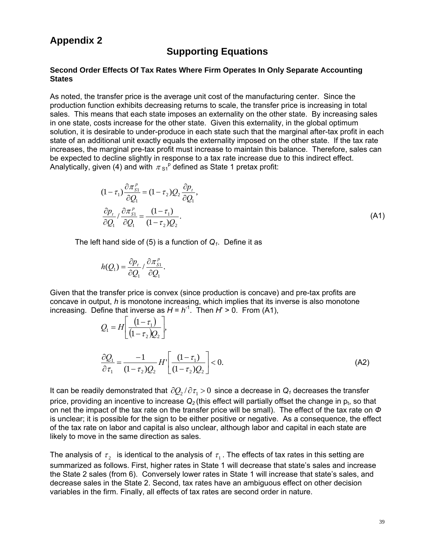## **Appendix 2**

## **Supporting Equations**

#### **Second Order Effects Of Tax Rates Where Firm Operates In Only Separate Accounting States**

As noted, the transfer price is the average unit cost of the manufacturing center. Since the production function exhibits decreasing returns to scale, the transfer price is increasing in total sales. This means that each state imposes an externality on the other state. By increasing sales in one state, costs increase for the other state. Given this externality, in the global optimum solution, it is desirable to under-produce in each state such that the marginal after-tax profit in each state of an additional unit exactly equals the externality imposed on the other state. If the tax rate increases, the marginal pre-tax profit must increase to maintain this balance. Therefore, sales can be expected to decline slightly in response to a tax rate increase due to this indirect effect. Analytically, given (4) and with  $\pi s_1^{\text{p}}$  defined as State 1 pretax profit:

$$
(1 - \tau_1) \frac{\partial \pi_{S_1}^p}{\partial Q_1} = (1 - \tau_2) Q_2 \frac{\partial p_t}{\partial Q_1},
$$
  

$$
\frac{\partial p_t}{\partial Q_1} / \frac{\partial \pi_{S_1}^p}{\partial Q_1} = \frac{(1 - \tau_1)}{(1 - \tau_2) Q_2}.
$$
 (A1)

The left hand side of (5) is a function of  $Q_1$ . Define it as

$$
h(Q_1) = \frac{\partial p_t}{\partial Q_1} / \frac{\partial \pi_{S_1}^p}{\partial Q_1}.
$$

Given that the transfer price is convex (since production is concave) and pre-tax profits are concave in output, *h* is monotone increasing, which implies that its inverse is also monotone increasing. Define that inverse as  $H = h^{-1}$ . Then  $H' > 0$ . From (A1),

$$
Q_1 = H \left[ \frac{(1 - \tau_1)}{(1 - \tau_2) Q_2} \right],
$$
  
\n
$$
\frac{\partial Q_1}{\partial \tau_1} = \frac{-1}{(1 - \tau_2) Q_2} H' \left[ \frac{(1 - \tau_1)}{(1 - \tau_2) Q_2} \right] < 0.
$$
\n(A2)

It can be readily demonstrated that  $\partial Q_2 / \partial \tau_1 > 0$  since a decrease in  $Q_1$  decreases the transfer price, providing an incentive to increase  $Q_2$  (this effect will partially offset the change in  $p_t$ , so that on net the impact of the tax rate on the transfer price will be small). The effect of the tax rate on *Ф* is unclear; it is possible for the sign to be either positive or negative. As a consequence, the effect of the tax rate on labor and capital is also unclear, although labor and capital in each state are likely to move in the same direction as sales.

The analysis of  $\tau$ , is identical to the analysis of  $\tau$ . The effects of tax rates in this setting are summarized as follows. First, higher rates in State 1 will decrease that state's sales and increase the State 2 sales (from 6). Conversely lower rates in State 1 will increase that state's sales, and decrease sales in the State 2. Second, tax rates have an ambiguous effect on other decision variables in the firm. Finally, all effects of tax rates are second order in nature.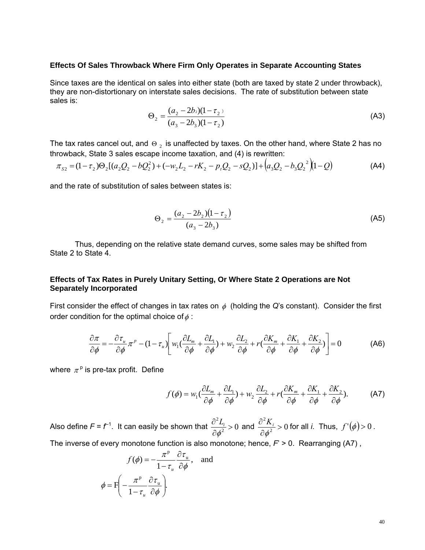#### **Effects Of Sales Throwback Where Firm Only Operates in Separate Accounting States**

Since taxes are the identical on sales into either state (both are taxed by state 2 under throwback), they are non-distortionary on interstate sales decisions. The rate of substitution between state sales is:

$$
\Theta_2 = \frac{(a_2 - 2b_2)(1 - \tau_2)}{(a_3 - 2b_3)(1 - \tau_2)}\tag{A3}
$$

The tax rates cancel out, and  $\Theta_2$  is unaffected by taxes. On the other hand, where State 2 has no throwback, State 3 sales escape income taxation, and (4) is rewritten:

$$
\pi_{S2} = (1 - \tau_2) \Theta_2 [(a_2 Q_2 - bQ_2^2) + (-w_2 L_2 - rK_2 - p_t Q_2 - sQ_2)] + (a_3 Q_2 - b_3 Q_2^2)(1 - Q) \tag{A4}
$$

and the rate of substitution of sales between states is:

$$
\Theta_2 = \frac{(a_2 - 2b_2)(1 - \tau_2)}{(a_3 - 2b_3)}\tag{A5}
$$

 Thus, depending on the relative state demand curves, some sales may be shifted from State 2 to State 4.

## **Effects of Tax Rates in Purely Unitary Setting, Or Where State 2 Operations are Not Separately Incorporated**

First consider the effect of changes in tax rates on  $\phi$  (holding the *Q*'s constant). Consider the first order condition for the optimal choice of  $\phi$ :

$$
\frac{\partial \pi}{\partial \phi} = -\frac{\partial \tau_u}{\partial \phi} \pi^p - (1 - \tau_u) \left[ w_1 \left( \frac{\partial L_m}{\partial \phi} + \frac{\partial L_1}{\partial \phi} \right) + w_2 \frac{\partial L_2}{\partial \phi} + r \left( \frac{\partial K_m}{\partial \phi} + \frac{\partial K_1}{\partial \phi} + \frac{\partial K_2}{\partial \phi} \right) \right] = 0 \tag{A6}
$$

where  $\pi^p$  is pre-tax profit. Define

$$
f(\phi) = w_1 \left( \frac{\partial L_m}{\partial \phi} + \frac{\partial L_1}{\partial \phi} \right) + w_2 \frac{\partial L_2}{\partial \phi} + r \left( \frac{\partial K_m}{\partial \phi} + \frac{\partial K_1}{\partial \phi} + \frac{\partial K_2}{\partial \phi} \right). \tag{A7}
$$

Also define  $F$  =  $f^{-1}$ . It can easily be shown that  $\frac{\partial^2 L_i}{\partial x^2}$  >  $0$ > ∂ ∂  $\frac{d^2 L_i}{d \phi^2}$  > 0 and  $\frac{\partial^2 K_i}{\partial \phi^2}$  > 0 > ∂ ∂ φ  $\frac{K_i}{\sigma^2}$  > 0 for all *i*. Thus,  $f'(\phi)$  > 0 .

The inverse of every monotone function is also monotone; hence,  $F > 0$ . Rearranging (A7),

$$
f(\phi) = -\frac{\pi^{\mathsf{P}}}{1 - \tau_u} \frac{\partial \tau_u}{\partial \phi}, \text{ and}
$$

$$
\phi = F\left(-\frac{\pi^{\mathsf{P}}}{1 - \tau_u} \frac{\partial \tau_u}{\partial \phi}\right).
$$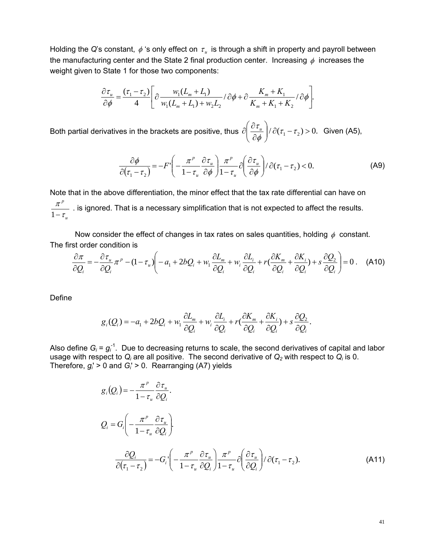Holding the *Q*'s constant,  $\phi$  's only effect on  $\tau_u$  is through a shift in property and payroll between the manufacturing center and the State 2 final production center. Increasing  $\phi$  increases the weight given to State 1 for those two components:

$$
\frac{\partial \tau_u}{\partial \phi} = \frac{(\tau_1 - \tau_2)}{4} \left[ \frac{w_1 (L_m + L_1)}{w_1 (L_m + L_1) + w_2 L_2} / \partial \phi + \frac{K_m + K_1}{K_m + K_1 + K_2} / \partial \phi \right].
$$

Both partial derivatives in the brackets are positive, thus  $\partial \left| \frac{\partial u}{\partial \phi} \right| / \partial (\tau_1 - \tau_2) > 0$ .  $\left(\frac{\partial \tau_{_u}}{\partial \phi}\right)$ ⎝  $\sqrt{}$ ∂  $\partial \left( \frac{\partial \tau_u}{\partial \tau_u} \right) / \partial (\tau_1 - \tau)$  $\phi$  $\left[\frac{\tau_u}{\sqrt{2}}\right]$  /  $\partial(\tau_1-\tau_2)$  > 0. Given (A5),

$$
\frac{\partial \phi}{\partial (\tau_1 - \tau_2)} = -F' \left( -\frac{\pi^p}{1 - \tau_u} \frac{\partial \tau_u}{\partial \phi} \right) \frac{\pi^p}{1 - \tau_u} \partial \left( \frac{\partial \tau_u}{\partial \phi} \right) / \partial (\tau_1 - \tau_2) < 0.
$$
 (A9)

Note that in the above differentiation, the minor effect that the tax rate differential can have on *u p* τ  $\frac{\pi^r}{1-\tau_{\nu}}$  . is ignored. That is a necessary simplification that is not expected to affect the results.

Now consider the effect of changes in tax rates on sales quantities, holding  $\phi$  constant. The first order condition is

$$
\frac{\partial \pi}{\partial Q_i} = -\frac{\partial \tau_u}{\partial Q_i} \pi^p - (1 - \tau_u) \left( -a_1 + 2bQ_i + w_i \frac{\partial L_m}{\partial Q_i} + w_i \frac{\partial L_i}{\partial Q_i} + r(\frac{\partial K_m}{\partial Q_i} + \frac{\partial K_i}{\partial Q_i}) + s \frac{\partial Q_2}{\partial Q_i} \right) = 0 \ . \tag{A10}
$$

Define

$$
g_i(Q_i) = -a_1 + 2bQ_i + w_1 \frac{\partial L_m}{\partial Q_i} + w_i \frac{\partial L_i}{\partial Q_i} + r(\frac{\partial K_m}{\partial Q_i} + \frac{\partial K_i}{\partial Q_i}) + s \frac{\partial Q_2}{\partial Q_i}.
$$

Also define  $G_i = g_i^{-1}$ . Due to decreasing returns to scale, the second derivatives of capital and labor usage with respect to *Qi* are all positive. The second derivative of *Q2* with respect to *Qi* is 0. Therefore, *gi*' > 0 and *Gi*' > 0. Rearranging (A7) yields

$$
g_i(Q_i) = -\frac{\pi^p}{1 - \tau_u} \frac{\partial \tau_u}{\partial Q_i}.
$$
  
\n
$$
Q_i = G_i \left( -\frac{\pi^p}{1 - \tau_u} \frac{\partial \tau_u}{\partial Q_i} \right).
$$
  
\n
$$
\frac{\partial Q_i}{\partial (\tau_1 - \tau_2)} = -G_i \left( -\frac{\pi^p}{1 - \tau_u} \frac{\partial \tau_u}{\partial Q_i} \right) \frac{\pi^p}{1 - \tau_u} \frac{\partial (\tau_u)}{\partial Q_i} + \partial (\tau_1 - \tau_2).
$$
\n(A11)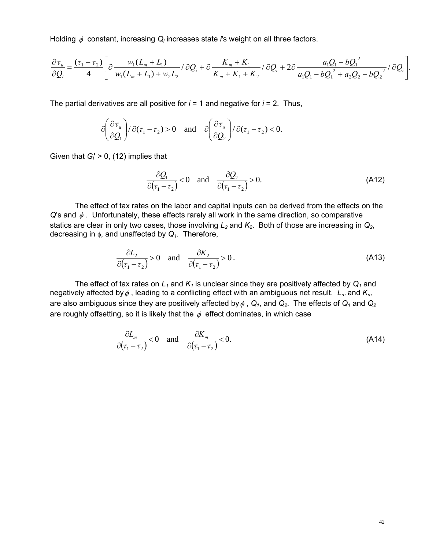Holding φ constant, increasing *Qi* increases state *i*'s weight on all three factors.

$$
\frac{\partial \tau_u}{\partial Q_i} = \frac{(\tau_1 - \tau_2)}{4} \left[ \frac{\partial \frac{w_1 (L_m + L_1)}{w_1 (L_m + L_1) + w_2 L_2}}{\partial (L_m + L_1) + w_2 L_2} \right] \frac{K_m + K_1}{K_m + K_1 + K_2} \left( \frac{\partial Q_i}{\partial Q_i} + 2 \frac{\partial Q_i}{\partial (L_m - L_1) + w_2 L_2} \right) \frac{d Q_i}{\partial Q_i} \frac{d Q_i}{\partial Q_i} + O \frac{Q_i^2}{L_m + L_1 + L_2} \left( \frac{\partial Q_i}{\partial Q_i} + \frac{\partial Q_i}{\partial Q_i} + \frac{\partial Q_i}{\partial Q_i} \right) \frac{d Q_i}{\partial Q_i} \frac{d Q_i}{\partial Q_i} \frac{d Q_i}{\partial Q_i} \frac{d Q_i}{\partial Q_i} \frac{d Q_i}{\partial Q_i} \frac{d Q_i}{\partial Q_i} \frac{d Q_i}{\partial Q_i} \frac{d Q_i}{\partial Q_i} \frac{d Q_i}{\partial Q_i} \frac{d Q_i}{\partial Q_i} \frac{d Q_i}{\partial Q_i} \frac{d Q_i}{\partial Q_i} \frac{d Q_i}{\partial Q_i} \frac{d Q_i}{\partial Q_i} \frac{d Q_i}{\partial Q_i} \frac{d Q_i}{\partial Q_i} \frac{d Q_i}{\partial Q_i} \frac{d Q_i}{\partial Q_i} \frac{d Q_i}{\partial Q_i} \frac{d Q_i}{\partial Q_i} \frac{d Q_i}{\partial Q_i} \frac{d Q_i}{\partial Q_i} \frac{d Q_i}{\partial Q_i} \frac{d Q_i}{\partial Q_i} \frac{d Q_i}{\partial Q_i} \frac{d Q_i}{\partial Q_i} \frac{d Q_i}{\partial Q_i} \frac{d Q_i}{\partial Q_i} \frac{d Q_i}{\partial Q_i} \frac{d Q_i}{\partial Q_i} \frac{d Q_i}{\partial Q_i} \frac{d Q_i}{\partial Q_i} \frac{d Q_i}{\partial Q_i} \frac{d Q_i}{\partial Q_i} \frac{d Q_i}{\partial Q_i} \frac{d Q_i}{\partial Q_i} \frac{d Q_i}{\partial Q_i} \frac{d Q_i}{\partial Q_i} \frac{d Q_i}{\partial Q_i} \frac{d Q_i}{\partial Q_i} \frac{d Q_i}{\partial Q_i} \frac{d Q_i}{\partial Q_i} \frac{d Q_i}{\
$$

The partial derivatives are all positive for  $i = 1$  and negative for  $i = 2$ . Thus,

$$
\partial \left(\frac{\partial \tau_u}{\partial Q_1}\right)/\partial (\tau_1 - \tau_2) > 0 \quad \text{and} \quad \partial \left(\frac{\partial \tau_u}{\partial Q_2}\right)/\partial (\tau_1 - \tau_2) < 0.
$$

Given that *Gi*' > 0, (12) implies that

$$
\frac{\partial Q_1}{\partial (\tau_1 - \tau_2)} < 0 \quad \text{and} \quad \frac{\partial Q_2}{\partial (\tau_1 - \tau_2)} > 0. \tag{A12}
$$

 The effect of tax rates on the labor and capital inputs can be derived from the effects on the *Q*'s and φ. Unfortunately, these effects rarely all work in the same direction, so comparative statics are clear in only two cases, those involving  $L_2$  and  $K_2$ . Both of those are increasing in  $Q_2$ , decreasing in φ, and unaffected by *Q1*. Therefore,

$$
\frac{\partial L_2}{\partial (\tau_1 - \tau_2)} > 0 \quad \text{and} \quad \frac{\partial K_2}{\partial (\tau_1 - \tau_2)} > 0.
$$
 (A13)

The effect of tax rates on  $L_1$  and  $K_1$  is unclear since they are positively affected by  $Q_1$  and negatively affected byφ , leading to a conflicting effect with an ambiguous net result. *Lm* and *Km* are also ambiguous since they are positively affected by  $\phi$ ,  $Q_1$ , and  $Q_2$ . The effects of  $Q_1$  and  $Q_2$ are roughly offsetting, so it is likely that the  $\phi$  effect dominates, in which case

$$
\frac{\partial L_m}{\partial (\tau_1 - \tau_2)} < 0 \quad \text{and} \quad \frac{\partial K_m}{\partial (\tau_1 - \tau_2)} < 0. \tag{A14}
$$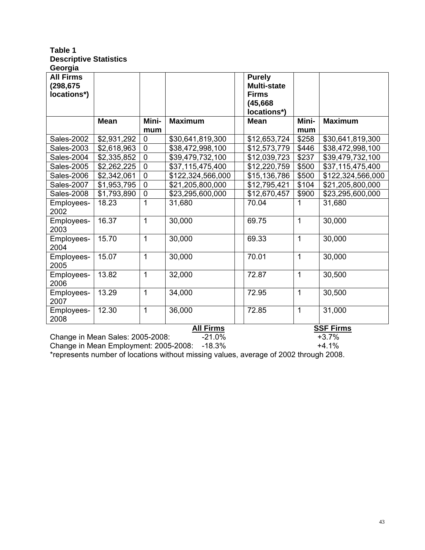#### **Table 1 Descriptive Statistics Georgia**

| ovvi giu<br><b>All Firms</b><br>(298, 675)<br>locations*) |                                  |                |                   | <b>Purely</b><br><b>Multi-state</b><br><b>Firms</b><br>(45, 668)<br>locations*) |              |                   |
|-----------------------------------------------------------|----------------------------------|----------------|-------------------|---------------------------------------------------------------------------------|--------------|-------------------|
|                                                           | <b>Mean</b>                      | Mini-<br>mum   | <b>Maximum</b>    | <b>Mean</b>                                                                     | Mini-<br>mum | <b>Maximum</b>    |
| <b>Sales-2002</b>                                         | \$2,931,292                      | $\mathbf 0$    | \$30,641,819,300  | \$12,653,724                                                                    | \$258        | \$30,641,819,300  |
| Sales-2003                                                | \$2,618,963                      | $\overline{0}$ | \$38,472,998,100  | \$12,573,779                                                                    | \$446        | \$38,472,998,100  |
| Sales-2004                                                | \$2,335,852                      | $\mathbf 0$    | \$39,479,732,100  | \$12,039,723                                                                    | \$237        | \$39,479,732,100  |
| <b>Sales-2005</b>                                         | \$2,262,225                      | $\mathbf 0$    | \$37,115,475,400  | \$12,220,759                                                                    | \$500        | \$37,115,475,400  |
| Sales-2006                                                | \$2,342,061                      | $\mathbf 0$    | \$122,324,566,000 | \$15,136,786                                                                    | \$500        | \$122,324,566,000 |
| <b>Sales-2007</b>                                         | \$1,953,795                      | $\mathbf 0$    | \$21,205,800,000  | \$12,795,421                                                                    | \$104        | \$21,205,800,000  |
| Sales-2008                                                | \$1,793,890                      | 0              | \$23,295,600,000  | \$12,670,457                                                                    | \$900        | \$23,295,600,000  |
| Employees-<br>2002                                        | 18.23                            | 1              | 31,680            | 70.04                                                                           | 1            | 31,680            |
| Employees-<br>2003                                        | 16.37                            | 1              | 30,000            | 69.75                                                                           | 1            | 30,000            |
| Employees-<br>2004                                        | 15.70                            | 1              | 30,000            | 69.33                                                                           | $\mathbf{1}$ | 30,000            |
| Employees-<br>2005                                        | 15.07                            | 1              | 30,000            | 70.01                                                                           | $\mathbf{1}$ | 30,000            |
| Employees-<br>2006                                        | 13.82                            | 1              | 32,000            | 72.87                                                                           | $\mathbf{1}$ | 30,500            |
| Employees-<br>2007                                        | 13.29                            | 1              | 34,000            | 72.95                                                                           | 1            | 30,500            |
| Employees-<br>2008                                        | 12.30                            | 1              | 36,000            | 72.85                                                                           | 1            | 31,000            |
|                                                           |                                  |                | <b>All Firms</b>  |                                                                                 |              | <b>SSF Firms</b>  |
|                                                           | Change in Mean Sales: 2005-2008: |                | $-21.0%$          |                                                                                 |              | $+3.7%$           |

Change in Mean Employment: 2005-2008: -18.3% +4.1%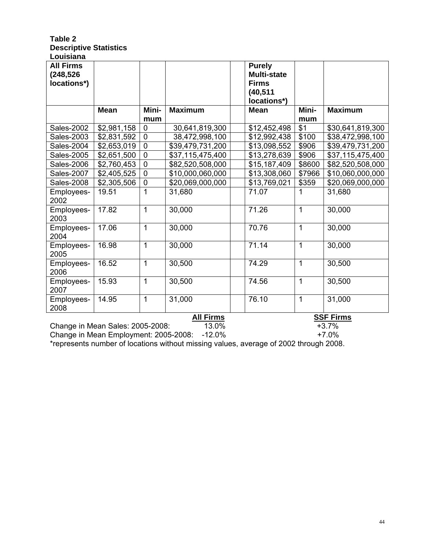## **Table 2 Descriptive Statistics Louisiana**

| <b>All Firms</b><br>(248, 526)<br>locations*) |                                  |                |                  | <b>Purely</b><br><b>Multi-state</b><br><b>Firms</b><br>(40, 511)<br>locations*) |              |                  |
|-----------------------------------------------|----------------------------------|----------------|------------------|---------------------------------------------------------------------------------|--------------|------------------|
|                                               | <b>Mean</b>                      | Mini-<br>mum   | <b>Maximum</b>   | <b>Mean</b>                                                                     | Mini-<br>mum | <b>Maximum</b>   |
| <b>Sales-2002</b>                             | \$2,981,158                      | $\mathbf 0$    | 30,641,819,300   | \$12,452,498                                                                    | \$1          | \$30,641,819,300 |
| Sales-2003                                    | \$2,831,592                      | $\mathbf 0$    | 38,472,998,100   | \$12,992,438                                                                    | \$100        | \$38,472,998,100 |
| <b>Sales-2004</b>                             | \$2,653,019                      | $\overline{0}$ | \$39,479,731,200 | \$13,098,552                                                                    | \$906        | \$39,479,731,200 |
| <b>Sales-2005</b>                             | \$2,651,500                      | $\mathbf 0$    | \$37,115,475,400 | \$13,278,639                                                                    | \$906        | \$37,115,475,400 |
| Sales-2006                                    | \$2,760,453                      | $\mathbf 0$    | \$82,520,508,000 | \$15,187,409                                                                    | \$8600       | \$82,520,508,000 |
| <b>Sales-2007</b>                             | \$2,405,525                      | $\mathbf{0}$   | \$10,000,060,000 | \$13,308,060                                                                    | \$7966       | \$10,060,000,000 |
| <b>Sales-2008</b>                             | \$2,305,506                      | 0              | \$20,069,000,000 | \$13,769,021                                                                    | \$359        | \$20,069,000,000 |
| Employees-<br>2002                            | 19.51                            | 1              | 31,680           | 71.07                                                                           | 1            | 31,680           |
| Employees-<br>2003                            | 17.82                            | 1              | 30,000           | 71.26                                                                           | 1            | 30,000           |
| Employees-<br>2004                            | 17.06                            | 1              | 30,000           | 70.76                                                                           | 1            | 30,000           |
| Employees-<br>2005                            | 16.98                            | $\mathbf 1$    | 30,000           | 71.14                                                                           | 1            | 30,000           |
| Employees-<br>2006                            | 16.52                            | 1              | 30,500           | 74.29                                                                           | 1            | 30,500           |
| Employees-<br>2007                            | 15.93                            | 1              | 30,500           | 74.56                                                                           | 1            | 30,500           |
| Employees-<br>2008                            | 14.95                            | 1              | 31,000           | 76.10                                                                           | 1            | 31,000           |
|                                               |                                  |                | <b>All Firms</b> |                                                                                 |              | <b>SSF Firms</b> |
|                                               | Change in Mean Sales: 2005-2008: |                | 13.0%            |                                                                                 |              | $+3.7%$          |

Change in Mean Employment: 2005-2008: -12.0% +7.0%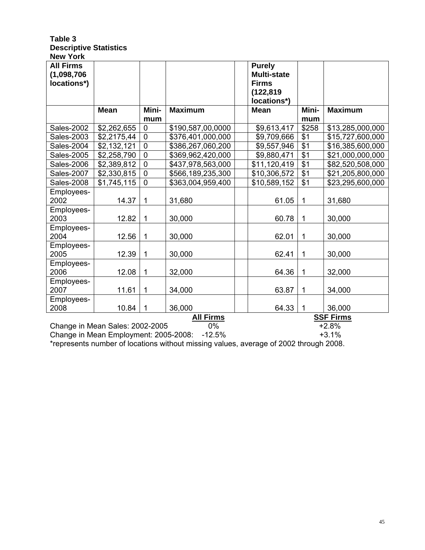#### **Table 3 Descriptive Statistics New York**

| <b>All Firms</b><br>(1,098,706)<br>locations*) |                                 |              |                   | <b>Purely</b><br><b>Multi-state</b><br><b>Firms</b><br>(122, 819)<br>locations*) |              |                  |
|------------------------------------------------|---------------------------------|--------------|-------------------|----------------------------------------------------------------------------------|--------------|------------------|
|                                                | <b>Mean</b>                     | Mini-<br>mum | <b>Maximum</b>    | <b>Mean</b>                                                                      | Mini-<br>mum | <b>Maximum</b>   |
| <b>Sales-2002</b>                              | \$2,262,655                     | $\mathbf 0$  | \$190,587,00,0000 | \$9,613,417                                                                      | \$258        | \$13,285,000,000 |
| Sales-2003                                     | \$2,2175,44                     | $\mathbf 0$  | \$376,401,000,000 | \$9,709,666                                                                      | \$1          | \$15,727,600,000 |
| Sales-2004                                     | \$2,132,121                     | $\mathbf 0$  | \$386,267,060,200 | \$9,557,946                                                                      | $\sqrt{$1}$  | \$16,385,600,000 |
| Sales-2005                                     | \$2,258,790                     | $\mathbf 0$  | \$369,962,420,000 | \$9,880,471                                                                      | $\sqrt{$1}$  | \$21,000,000,000 |
| Sales-2006                                     | \$2,389,812                     | $\mathbf 0$  | \$437,978,563,000 | \$11,120,419                                                                     | \$1          | \$82,520,508,000 |
| <b>Sales-2007</b>                              | \$2,330,815                     | $\mathbf 0$  | \$566,189,235,300 | \$10,306,572                                                                     | \$1          | \$21,205,800,000 |
| <b>Sales-2008</b>                              | \$1,745,115                     | $\mathbf 0$  | \$363,004,959,400 | \$10,589,152                                                                     | \$1          | \$23,295,600,000 |
| Employees-<br>2002                             | 14.37                           | 1            | 31,680            | 61.05                                                                            | $\mathbf 1$  | 31,680           |
| Employees-<br>2003                             | 12.82                           | $\mathbf{1}$ | 30,000            | 60.78                                                                            | $\mathbf 1$  | 30,000           |
| Employees-<br>2004                             | 12.56                           | $\mathbf 1$  | 30,000            | 62.01                                                                            | $\mathbf{1}$ | 30,000           |
| Employees-<br>2005                             | 12.39                           | $\mathbf 1$  | 30,000            | 62.41                                                                            | $\mathbf{1}$ | 30,000           |
| Employees-<br>2006                             | 12.08                           | $\mathbf 1$  | 32,000            | 64.36                                                                            | $\mathbf 1$  | 32,000           |
| Employees-<br>2007                             | 11.61                           | $\mathbf{1}$ | 34,000            | 63.87                                                                            | $\mathbf 1$  | 34,000           |
| Employees-<br>2008                             | 10.84                           | $\mathbf 1$  | 36,000            | 64.33                                                                            | $\mathbf 1$  | 36,000           |
|                                                |                                 |              | <b>All Firms</b>  |                                                                                  |              | <b>SSF Firms</b> |
|                                                | Change in Mean Sales: 2002-2005 |              | 0%                |                                                                                  |              | $+2.8%$          |

Change in Mean Employment: 2005-2008: -12.5% +3.1%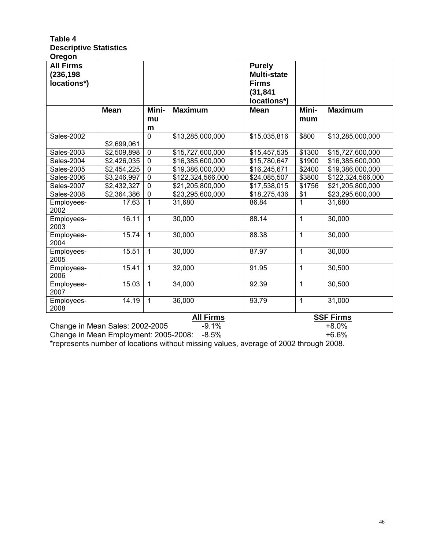#### **Table 4 Descriptive Statistics Oregon**

| u ugun<br><b>All Firms</b><br>(236, 198)<br>locations*) |             |                |                   | <b>Purely</b><br><b>Multi-state</b><br><b>Firms</b><br>(31, 841)<br>locations*) |        |                   |
|---------------------------------------------------------|-------------|----------------|-------------------|---------------------------------------------------------------------------------|--------|-------------------|
|                                                         | <b>Mean</b> | Mini-          | <b>Maximum</b>    | <b>Mean</b>                                                                     | Mini-  | <b>Maximum</b>    |
|                                                         |             | mu<br>m        |                   |                                                                                 | mum    |                   |
| <b>Sales-2002</b>                                       |             | $\mathbf 0$    | \$13,285,000,000  | \$15,035,816                                                                    | \$800  | \$13,285,000,000  |
|                                                         | \$2,699,061 |                |                   |                                                                                 |        |                   |
| Sales-2003                                              | \$2,509,898 | $\mathbf 0$    | \$15,727,600,000  | \$15,457,535                                                                    | \$1300 | \$15,727,600,000  |
| Sales-2004                                              | \$2,426,035 | 0              | \$16,385,600,000  | \$15,780,647                                                                    | \$1900 | \$16,385,600,000  |
| Sales-2005                                              | \$2,454,225 | $\mathbf 0$    | \$19,386,000,000  | \$16,245,671                                                                    | \$2400 | \$19,386,000,000  |
| Sales-2006                                              | \$3,246,997 | $\overline{0}$ | \$122,324,566,000 | \$24,085,507                                                                    | \$3800 | \$122,324,566,000 |
| <b>Sales-2007</b>                                       | \$2,432,327 | $\mathbf 0$    | \$21,205,800,000  | \$17,538,015                                                                    | \$1756 | \$21,205,800,000  |
| Sales-2008                                              | \$2,364,386 | $\mathbf 0$    | \$23,295,600,000  | \$18,275,436                                                                    | \$1    | \$23,295,600,000  |
| Employees-<br>2002                                      | 17.63       | $\mathbf{1}$   | 31,680            | 86.84                                                                           | 1      | 31,680            |
| Employees-<br>2003                                      | 16.11       | $\mathbf{1}$   | 30,000            | 88.14                                                                           | 1      | 30,000            |
| Employees-<br>2004                                      | 15.74       | $\mathbf{1}$   | 30,000            | 88.38                                                                           | 1      | 30,000            |
| Employees-<br>2005                                      | 15.51       | $\mathbf{1}$   | 30,000            | 87.97                                                                           | 1      | 30,000            |
| Employees-<br>2006                                      | 15.41       | $\mathbf{1}$   | 32,000            | 91.95                                                                           | 1      | 30,500            |
| Employees-<br>2007                                      | 15.03       | $\mathbf{1}$   | 34,000            | 92.39                                                                           | 1      | 30,500            |
| Employees-<br>2008                                      | 14.19       | $\mathbf{1}$   | 36,000            | 93.79                                                                           | 1      | 31,000            |
|                                                         |             |                | <b>All Firms</b>  |                                                                                 |        | <b>SSF Firms</b>  |
| Change in Mean Sales: 2002-2005                         |             |                | $-9.1%$           |                                                                                 |        | $+8.0%$           |

Change in Mean Employment: 2005-2008: -8.5% +6.6%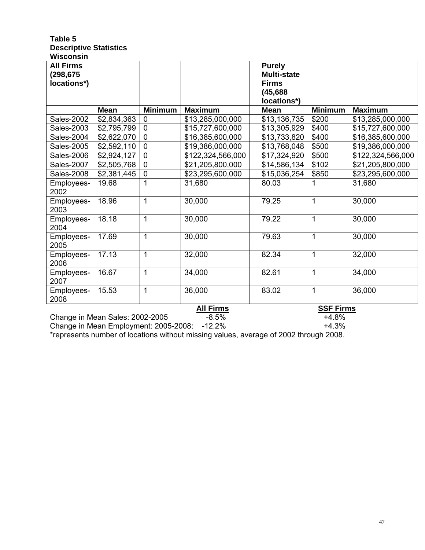### **Table 5 Descriptive Statistics Wisconsin**

| <b>All Firms</b><br>(298, 675)<br>locations*) |             |                |                   | <b>Purely</b><br><b>Multi-state</b><br><b>Firms</b><br>(45, 688)<br>locations*) |                  |                   |
|-----------------------------------------------|-------------|----------------|-------------------|---------------------------------------------------------------------------------|------------------|-------------------|
|                                               | <b>Mean</b> | <b>Minimum</b> | <b>Maximum</b>    | <b>Mean</b>                                                                     | <b>Minimum</b>   | <b>Maximum</b>    |
| <b>Sales-2002</b>                             | \$2,834,363 | $\mathbf 0$    | \$13,285,000,000  | \$13,136,735                                                                    | \$200            | \$13,285,000,000  |
| Sales-2003                                    | \$2,795,799 | $\mathbf 0$    | \$15,727,600,000  | \$13,305,929                                                                    | \$400            | \$15,727,600,000  |
| Sales-2004                                    | \$2,622,070 | $\overline{0}$ | \$16,385,600,000  | \$13,733,820                                                                    | \$400            | \$16,385,600,000  |
| Sales-2005                                    | \$2,592,110 | $\overline{0}$ | \$19,386,000,000  | \$13,768,048                                                                    | \$500            | \$19,386,000,000  |
| Sales-2006                                    | \$2,924,127 | $\mathbf 0$    | \$122,324,566,000 | \$17,324,920                                                                    | \$500            | \$122,324,566,000 |
| Sales-2007                                    | \$2,505,768 | $\overline{0}$ | \$21,205,800,000  | \$14,586,134                                                                    | \$102            | \$21,205,800,000  |
| Sales-2008                                    | \$2,381,445 | $\mathbf 0$    | \$23,295,600,000  | \$15,036,254                                                                    | \$850            | \$23,295,600,000  |
| Employees-<br>2002                            | 19.68       | 1              | 31,680            | 80.03                                                                           | 1                | 31,680            |
| Employees-<br>2003                            | 18.96       | $\mathbf{1}$   | 30,000            | 79.25                                                                           | 1                | 30,000            |
| Employees-<br>2004                            | 18.18       | 1              | 30,000            | 79.22                                                                           | 1                | 30,000            |
| Employees-<br>2005                            | 17.69       | 1              | 30,000            | 79.63                                                                           | 1                | 30,000            |
| Employees-<br>2006                            | 17.13       | 1              | 32,000            | 82.34                                                                           | $\mathbf 1$      | 32,000            |
| Employees-<br>2007                            | 16.67       | $\mathbf{1}$   | 34,000            | 82.61                                                                           | 1                | 34,000            |
| Employees-<br>2008                            | 15.53       | $\mathbf 1$    | 36,000            | 83.02                                                                           | 1                | 36,000            |
|                                               |             |                | <b>All Firms</b>  |                                                                                 | <b>SSF Firms</b> |                   |

Change in Mean Sales: 2002-2005<br>
Change in Mean Employment: 2005-2008: -12.2%<br>
+4.3% Change in Mean Employment:  $2005-2008$ : -12.2%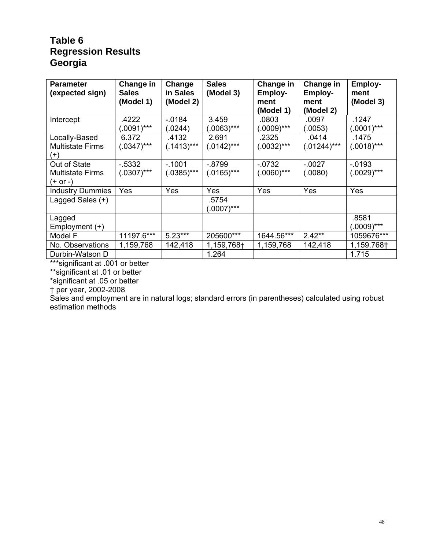## **Table 6 Regression Results Georgia**

| <b>Parameter</b><br>(expected sign)                  | Change in<br><b>Sales</b><br>(Model 1) | Change<br>in Sales<br>(Model 2) | <b>Sales</b><br>(Model 3) | <b>Change in</b><br><b>Employ-</b><br>ment<br>(Model 1) | Change in<br><b>Employ-</b><br>ment<br>(Model 2) | Employ-<br>ment<br>(Model 3) |
|------------------------------------------------------|----------------------------------------|---------------------------------|---------------------------|---------------------------------------------------------|--------------------------------------------------|------------------------------|
| Intercept                                            | .4222<br>$(.0091)***$                  | $-0.0184$<br>(.0244)            | 3.459<br>$(0.0063)$ ***   | .0803<br>$(.0009)***$                                   | .0097<br>(.0053)                                 | .1247<br>$(.0001)***$        |
| Locally-Based<br><b>Multistate Firms</b><br>$^{(+)}$ | 6.372<br>$(.0347)$ ***                 | .4132<br>$(.1413)***$           | 2.691<br>$(.0142)***$     | .2325<br>$(.0032)***$                                   | .0414<br>$(.01244)***$                           | .1475<br>$(.0018)***$        |
| Out of State<br><b>Multistate Firms</b><br>(+ or -)  | $-5332$<br>$(.0307)$ ***               | $-1001$<br>$(.0385)***$         | $-0.8799$<br>$(.0165)***$ | $-0732$<br>$(.0060)$ ***                                | $-0.0027$<br>(.0080)                             | $-0.0193$<br>$(.0029)***$    |
| <b>Industry Dummies</b>                              | Yes                                    | Yes                             | Yes                       | Yes                                                     | Yes                                              | Yes                          |
| Lagged Sales (+)                                     |                                        |                                 | .5754<br>$(0007)$ ***     |                                                         |                                                  |                              |
| Lagged<br>Employment $(+)$                           |                                        |                                 |                           |                                                         |                                                  | .8581<br>$(.0009)***$        |
| Model F                                              | 11197.6***                             | $5.23***$                       | 205600***                 | 1644.56***                                              | $2.42**$                                         | 1059676***                   |
| No. Observations                                     | 1,159,768                              | 142,418                         | 1,159,768†                | 1,159,768                                               | 142,418                                          | 1,159,768†                   |
| Durbin-Watson D                                      |                                        |                                 | 1.264                     |                                                         |                                                  | 1.715                        |

\*\*\*significant at .001 or better

\*\*significant at .01 or better

\*significant at .05 or better

† per year, 2002-2008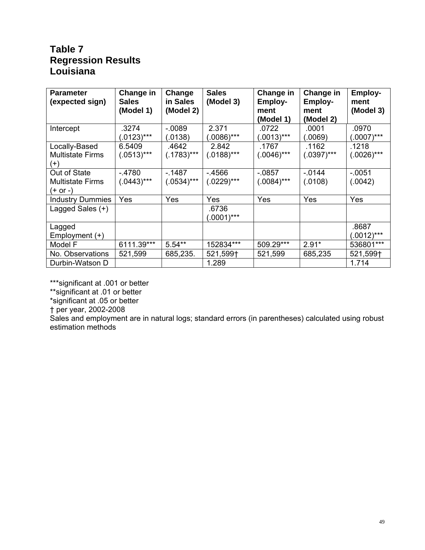## **Table 7 Regression Results Louisiana**

| <b>Parameter</b><br>(expected sign) | Change in<br><b>Sales</b><br>(Model 1) | Change<br>in Sales<br>(Model 2) | <b>Sales</b><br>(Model 3) | Change in<br><b>Employ-</b><br>ment | Change in<br><b>Employ-</b><br>ment | Employ-<br>ment<br>(Model 3) |
|-------------------------------------|----------------------------------------|---------------------------------|---------------------------|-------------------------------------|-------------------------------------|------------------------------|
|                                     |                                        |                                 |                           | (Model 1)                           | (Model 2)                           |                              |
| Intercept                           | .3274                                  | $-0.089$                        | 2.371                     | .0722                               | .0001                               | .0970                        |
|                                     | $(.0123)***$                           | (.0138)                         | (.0086)***                | $(.0013)***$                        | (.0069)                             | (.0007)***                   |
| Locally-Based                       | 6.5409                                 | .4642                           | 2.842                     | .1767                               | .1162                               | .1218                        |
| <b>Multistate Firms</b>             | $(.0513)***$                           | $(.1783)***$                    | $(.0188)***$              | $(.0046)***$                        | $(.0397)***$                        | $(.0026)***$                 |
| $(+)$                               |                                        |                                 |                           |                                     |                                     |                              |
| Out of State                        | $-4780$                                | $-1487$                         | $-4566$                   | $-0857$                             | $-0.0144$                           | $-0.0051$                    |
| <b>Multistate Firms</b>             | $(.0443)***$                           | $(.0534)***$                    | $(.0229)***$              | $(.0084)***$                        | (.0108)                             | (.0042)                      |
| (+ or -)                            |                                        |                                 |                           |                                     |                                     |                              |
| <b>Industry Dummies</b>             | Yes                                    | Yes                             | Yes                       | Yes                                 | Yes                                 | Yes                          |
| Lagged Sales (+)                    |                                        |                                 | .6736                     |                                     |                                     |                              |
|                                     |                                        |                                 | $(.0001)***$              |                                     |                                     |                              |
| Lagged                              |                                        |                                 |                           |                                     |                                     | .8687                        |
| Employment (+)                      |                                        |                                 |                           |                                     |                                     | $(.0012)***$                 |
| Model F                             | 6111.39***                             | $5.54**$                        | 152834***                 | 509.29***                           | $2.91*$                             | 536801***                    |
| No. Observations                    | 521,599                                | 685,235.                        | 521,599†                  | 521,599                             | 685,235                             | 521,599†                     |
| Durbin-Watson D                     |                                        |                                 | 1.289                     |                                     |                                     | 1.714                        |

\*\*\*significant at .001 or better

\*\*significant at .01 or better

\*significant at .05 or better

† per year, 2002-2008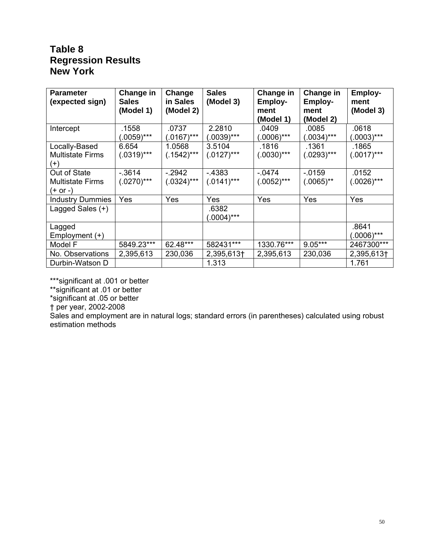## **Table 8 Regression Results New York**

| <b>Parameter</b><br>(expected sign)                 | Change in<br><b>Sales</b><br>(Model 1) | Change<br>in Sales<br>(Model 2) | <b>Sales</b><br>(Model 3)    | Change in<br><b>Employ-</b><br>ment<br>(Model 1) | Change in<br><b>Employ-</b><br>ment<br>(Model 2) | <b>Employ-</b><br>ment<br>(Model 3) |
|-----------------------------------------------------|----------------------------------------|---------------------------------|------------------------------|--------------------------------------------------|--------------------------------------------------|-------------------------------------|
| Intercept                                           | .1558<br>$(.0059)***$                  | .0737<br>$(.0167)***$           | 2.2810<br>$(.0039)***$       | .0409<br>$(.0006)***$                            | .0085<br>$(.0034)***$                            | .0618<br>$(.0003)***$               |
| Locally-Based<br><b>Multistate Firms</b><br>$(+)$   | 6.654<br>$(.0319)***$                  | 1.0568<br>$(.1542)***$          | 3.5104<br>$(.0127)***$       | .1816<br>$(.0030)$ ***                           | .1361<br>$(.0293)***$                            | .1865<br>$(.0017)***$               |
| Out of State<br><b>Multistate Firms</b><br>(+ or -) | $-0.3614$<br>$(.0270)$ ***             | $-2942$<br>$(.0324)***$         | $-4383$<br>$(.0141)***$      | $-0474$<br>$(.0052)***$                          | $-0.0159$<br>$(.0065)$ **                        | .0152<br>$(.0026)***$               |
| <b>Industry Dummies</b><br>Lagged Sales (+)         | Yes                                    | Yes                             | Yes<br>.6382<br>$(.0004)***$ | Yes                                              | Yes                                              | Yes                                 |
| Lagged<br>Employment $(+)$                          |                                        |                                 |                              |                                                  |                                                  | .8641<br>$(.0006)$ ***              |
| Model F                                             | 5849.23***                             | 62.48***                        | 582431***                    | 1330.76***                                       | $9.05***$                                        | 2467300***                          |
| No. Observations                                    | 2,395,613                              | 230,036                         | 2,395,613+                   | 2,395,613                                        | 230,036                                          | 2,395,613+                          |
| Durbin-Watson D                                     |                                        |                                 | 1.313                        |                                                  |                                                  | 1.761                               |

\*\*\*significant at .001 or better

\*\*significant at .01 or better

\*significant at .05 or better

† per year, 2002-2008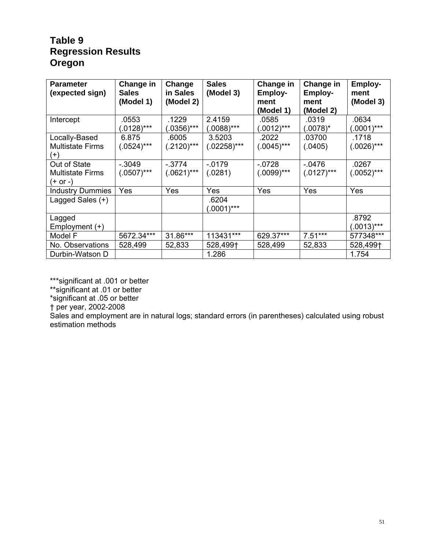## **Table 9 Regression Results Oregon**

| <b>Parameter</b><br>(expected sign)                 | Change in<br><b>Sales</b><br>(Model 1) | Change<br>in Sales<br>(Model 2) | <b>Sales</b><br>(Model 3)    | <b>Change in</b><br><b>Employ-</b><br>ment<br>(Model 1) | Change in<br><b>Employ-</b><br>ment<br>(Model 2) | <b>Employ-</b><br>ment<br>(Model 3) |
|-----------------------------------------------------|----------------------------------------|---------------------------------|------------------------------|---------------------------------------------------------|--------------------------------------------------|-------------------------------------|
| Intercept                                           | .0553<br>$(.0128)***$                  | .1229<br>$(0.0356)$ ***         | 2.4159<br>$(.0088)$ ***      | .0585<br>$(.0012)***$                                   | .0319<br>(.0078)*                                | .0634<br>$(0.001)$ ***              |
| Locally-Based<br><b>Multistate Firms</b><br>$(+)$   | 6.875<br>$(.0524)***$                  | .6005<br>$(.2120)***$           | 3.5203<br>$(.02258)***$      | .2022<br>$(.0045)***$                                   | .03700<br>(.0405)                                | .1718<br>$(.0026)***$               |
| Out of State<br><b>Multistate Firms</b><br>(+ or -) | $-0.3049$<br>$(.0507)$ ***             | $-.3774$<br>$(.0621)***$        | $-.0179$<br>(.0281)          | $-0728$<br>$(.0099)$ ***                                | $-0476$<br>$(.0127)***$                          | .0267<br>$(.0052)***$               |
| <b>Industry Dummies</b><br>Lagged Sales (+)         | Yes                                    | Yes                             | Yes<br>.6204<br>$(.0001)***$ | Yes                                                     | Yes                                              | Yes                                 |
| Lagged<br>Employment $(+)$                          |                                        |                                 |                              |                                                         |                                                  | .8792<br>$(.0013)***$               |
| Model F                                             | 5672.34***                             | 31.86***                        | 113431***                    | 629.37***                                               | $7.51***$                                        | 577348***                           |
| No. Observations                                    | 528,499                                | 52,833                          | 528,499†                     | 528,499                                                 | 52,833                                           | 528,499†                            |
| Durbin-Watson D                                     |                                        |                                 | 1.286                        |                                                         |                                                  | 1.754                               |

\*\*\*significant at .001 or better

\*\*significant at .01 or better

\*significant at .05 or better

† per year, 2002-2008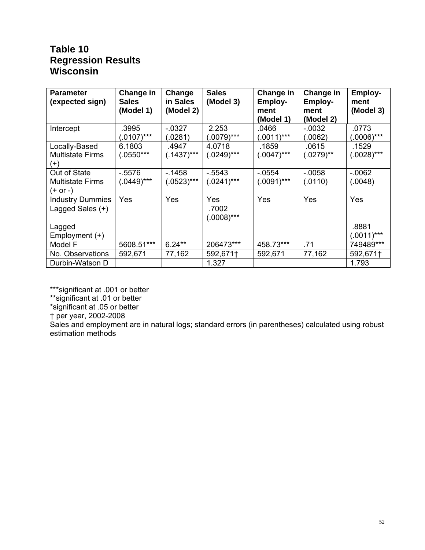## **Table 10 Regression Results Wisconsin**

| <b>Parameter</b><br>(expected sign)                 | Change in<br><b>Sales</b><br>(Model 1) | Change<br>in Sales<br>(Model 2) | <b>Sales</b><br>(Model 3)    | Change in<br><b>Employ-</b><br>ment<br>(Model 1) | Change in<br><b>Employ-</b><br>ment<br>(Model 2) | <b>Employ-</b><br>ment<br>(Model 3) |
|-----------------------------------------------------|----------------------------------------|---------------------------------|------------------------------|--------------------------------------------------|--------------------------------------------------|-------------------------------------|
| Intercept                                           | .3995<br>$(.0107)***$                  | $-0.0327$<br>(.0281)            | 2.253<br>(.0079)***          | .0466<br>$(.0011)***$                            | $-0.0032$<br>(.0062)                             | .0773<br>$(0.0006)$ ***             |
| Locally-Based<br><b>Multistate Firms</b><br>$(+)$   | 6.1803<br>$(.0550***$                  | .4947<br>$(.1437)$ ***          | 4.0718<br>$(.0249)***$       | .1859<br>$(.0047)$ ***                           | .0615<br>$(.0279)$ **                            | .1529<br>$(.0028)***$               |
| Out of State<br><b>Multistate Firms</b><br>(+ or -) | $-5576$<br>$(.0449)***$                | $-1458$<br>$(.0523)***$         | $-5543$<br>$(.0241)***$      | $-0554$<br>$(.0091)***$                          | $-.0058$<br>(.0110)                              | $-0.062$<br>(.0048)                 |
| <b>Industry Dummies</b><br>Lagged Sales (+)         | Yes                                    | Yes                             | Yes<br>.7002<br>$(.0008)***$ | Yes                                              | Yes                                              | Yes                                 |
| Lagged<br>Employment $(+)$                          |                                        |                                 |                              |                                                  |                                                  | .8881<br>$(.0011)***$               |
| Model F                                             | 5608.51***                             | $6.24**$                        | 206473***                    | 458.73***                                        | .71                                              | 749489***                           |
| No. Observations                                    | 592,671                                | 77,162                          | 592,671†                     | 592,671                                          | 77,162                                           | 592,671†                            |
| Durbin-Watson D                                     |                                        |                                 | 1.327                        |                                                  |                                                  | 1.793                               |

\*\*\*significant at .001 or better

\*\*significant at .01 or better

\*significant at .05 or better

† per year, 2002-2008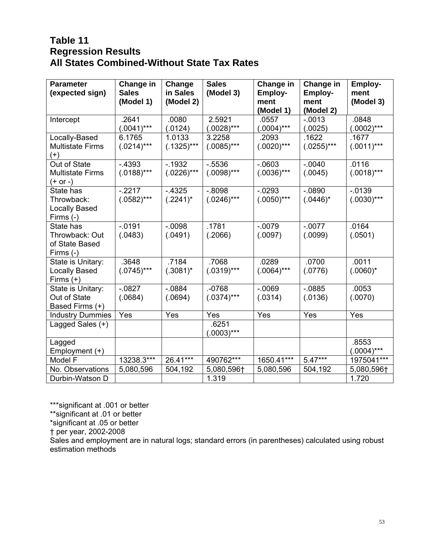## **Table 11 Regression Results All States Combined-Without State Tax Rates**

| <b>Parameter</b><br>(expected sign)                            | Change in<br><b>Sales</b><br>(Model 1) | Change<br>in Sales<br>(Model 2) | <b>Sales</b><br>(Model 3)  | Change in<br><b>Employ-</b><br>ment<br>(Model 1) | Change in<br><b>Employ-</b><br>ment<br>(Model 2) | Employ-<br>ment<br>(Model 3) |
|----------------------------------------------------------------|----------------------------------------|---------------------------------|----------------------------|--------------------------------------------------|--------------------------------------------------|------------------------------|
| Intercept                                                      | .2641<br>$(.0041)***$                  | .0080<br>(.0124)                | 2.5921<br>$(.0028)$ ***    | .0557<br>$(.0004)***$                            | $-.0013$<br>(.0025)                              | .0848<br>$(.0002)***$        |
| Locally-Based<br><b>Multistate Firms</b><br>$(+)$              | 6.1765<br>$(.0214)***$                 | 1.0133<br>$(.1325)***$          | 3.2258<br>$(.0085)$ ***    | .2093<br>$(.0020)$ ***                           | .1622<br>$(.0255)***$                            | .1677<br>$(.0011)***$        |
| Out of State<br><b>Multistate Firms</b><br>$(+ or -)$          | $-4393$<br>$(.0188)***$                | $-1932$<br>$(.0226)***$         | $-0.5536$<br>$(.0098)$ *** | $-0603$<br>$(.0036)***$                          | $-.0040$<br>(.0045)                              | .0116<br>$(.0018)***$        |
| State has<br>Throwback:<br><b>Locally Based</b><br>Firms $(-)$ | $-2217$<br>$(.0582)***$                | $-4325$<br>$(.2241)^*$          | $-.8098$<br>$(.0246)***$   | $-0293$<br>$(.0050)$ ***                         | $-0890$<br>$(.0446)^*$                           | $-0.0139$<br>$(.0030)$ ***   |
| State has<br>Throwback: Out<br>of State Based<br>Firms (-)     | $-.0191$<br>(.0483)                    | $-0.0098$<br>(.0491)            | .1781<br>(.2066)           | $-.0079$<br>(.0097)                              | $-.0077$<br>(.0099)                              | .0164<br>(.0501)             |
| State is Unitary:<br><b>Locally Based</b><br>Firms $(+)$       | .3648<br>$(.0745)$ ***                 | .7184<br>$(.3081)^*$            | .7068<br>$(.0319)***$      | .0289<br>$(.0064)***$                            | .0700<br>(.0776)                                 | .0011<br>$(.0060)^*$         |
| State is Unitary:<br>Out of State<br>Based Firms (+)           | $-0827$<br>(.0684)                     | $-0884$<br>(.0694)              | $-0768$<br>$(.0374)***$    | $-0.069$<br>(.0314)                              | $-0885$<br>(.0136)                               | .0053<br>(.0070)             |
| <b>Industry Dummies</b>                                        | Yes                                    | Yes                             | Yes                        | Yes                                              | Yes                                              | Yes                          |
| Lagged Sales (+)                                               |                                        |                                 | .6251<br>$(.0003)***$      |                                                  |                                                  |                              |
| Lagged<br>Employment (+)                                       |                                        |                                 |                            |                                                  |                                                  | .8553<br>$(.0004)***$        |
| Model F                                                        | 13238.3***                             | 26.41***                        | 490762***                  | 1650.41***                                       | $5.47***$                                        | 1975041***                   |
| No. Observations                                               | 5,080,596                              | 504,192                         | 5,080,596†                 | 5,080,596                                        | 504,192                                          | 5,080,596†                   |
| Durbin-Watson D                                                |                                        |                                 | 1.319                      |                                                  |                                                  | 1.720                        |

\*\*\*significant at .001 or better

\*\*significant at .01 or better

\*significant at .05 or better

† per year, 2002-2008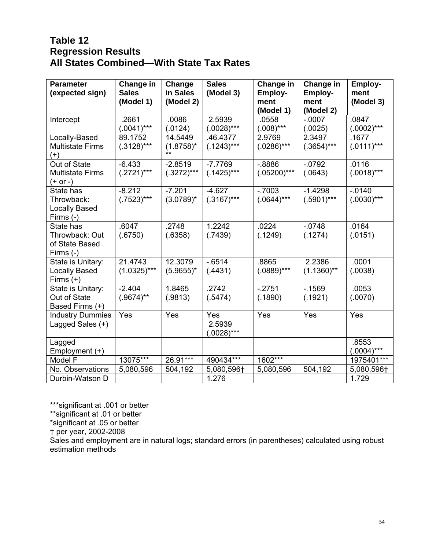## **Table 12 Regression Results All States Combined—With State Tax Rates**

| <b>Parameter</b><br>(expected sign)                            | Change in<br><b>Sales</b><br>(Model 1) | Change<br>in Sales<br>(Model 2)  | <b>Sales</b><br>(Model 3) | Change in<br>Employ-<br>ment<br>(Model 1) | Change in<br><b>Employ-</b><br>ment<br>(Model 2) | Employ-<br>ment<br>(Model 3) |
|----------------------------------------------------------------|----------------------------------------|----------------------------------|---------------------------|-------------------------------------------|--------------------------------------------------|------------------------------|
| Intercept                                                      | .2661<br>$(.0041)***$                  | .0086<br>(.0124)                 | 2.5939<br>$(.0028)***$    | .0558<br>$(.008)***$                      | $-.0007$<br>(.0025)                              | .0847<br>$(.0002)***$        |
| Locally-Based<br><b>Multistate Firms</b><br>$(+)$              | 89.1752<br>$(.3128)***$                | 14.5449<br>$(1.8758)^*$<br>$***$ | .46.4377<br>$(.1243)***$  | 2.9769<br>$(.0286)***$                    | 2.3497<br>$(.3654)***$                           | .1677<br>$(.0111)***$        |
| Out of State<br><b>Multistate Firms</b><br>$(+ or -)$          | $-6.433$<br>$(.2721)***$               | $-2.8519$<br>$(.3272)***$        | $-7.7769$<br>$(.1425)***$ | $-0.8886$<br>$(.05200)***$                | $-.0792$<br>(.0643)                              | .0116<br>$(.0018)***$        |
| State has<br>Throwback:<br><b>Locally Based</b><br>Firms $(-)$ | $-8.212$<br>$(.7523)***$               | $-7.201$<br>$(3.0789)^{*}$       | $-4.627$<br>$(.3167)$ *** | $-0.7003$<br>$(.0644)***$                 | $-1.4298$<br>$(.5901)***$                        | $-0.0140$<br>$(.0030)$ ***   |
| State has<br>Throwback: Out<br>of State Based<br>Firms (-)     | .6047<br>(.6750)                       | .2748<br>(.6358)                 | 1.2242<br>(.7439)         | .0224<br>(.1249)                          | $-0748$<br>(.1274)                               | .0164<br>(.0151)             |
| State is Unitary:<br><b>Locally Based</b><br>Firms $(+)$       | 21.4743<br>$(1.0325)***$               | 12.3079<br>$(5.9655)^*$          | $-0.6514$<br>(.4431)      | .8865<br>$(.0889)$ ***                    | 2.2386<br>$(1.1360)$ **                          | .0001<br>(.0038)             |
| State is Unitary:<br>Out of State<br>Based Firms (+)           | $-2.404$<br>$(.9674)$ **               | 1.8465<br>(.9813)                | .2742<br>(.5474)          | $-.2751$<br>(.1890)                       | $-1569$<br>(.1921)                               | .0053<br>(.0070)             |
| <b>Industry Dummies</b>                                        | Yes                                    | Yes                              | Yes                       | Yes                                       | Yes                                              | Yes                          |
| Lagged Sales (+)                                               |                                        |                                  | 2.5939<br>$(.0028)***$    |                                           |                                                  |                              |
| Lagged<br>Employment (+)                                       |                                        |                                  |                           |                                           |                                                  | .8553<br>$(.0004)***$        |
| Model F                                                        | 13075***                               | 26.91***                         | 490434***                 | 1602***                                   |                                                  | 1975401***                   |
| No. Observations                                               | 5,080,596                              | 504,192                          | 5,080,596†                | 5,080,596                                 | 504,192                                          | 5,080,596†                   |
| Durbin-Watson D                                                |                                        |                                  | 1.276                     |                                           |                                                  | 1.729                        |

\*\*\*significant at .001 or better

\*\*significant at .01 or better

\*significant at .05 or better

† per year, 2002-2008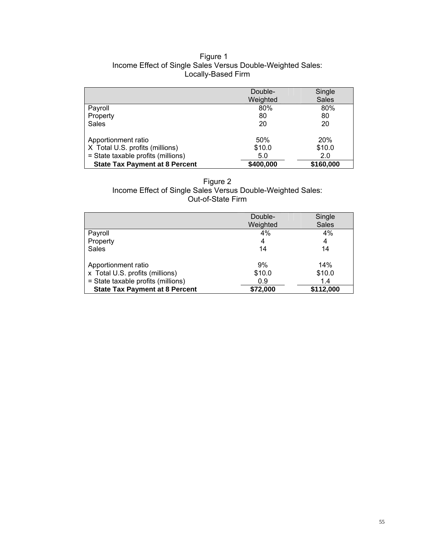## Figure 1 Income Effect of Single Sales Versus Double-Weighted Sales: Locally-Based Firm

|                                                                                              | Double-<br>Weighted  | Single<br><b>Sales</b>      |
|----------------------------------------------------------------------------------------------|----------------------|-----------------------------|
| Payroll                                                                                      | 80%                  | 80%                         |
| Property                                                                                     | 80                   | 80                          |
| Sales                                                                                        | 20                   | 20                          |
| Apportionment ratio<br>X Total U.S. profits (millions)<br>= State taxable profits (millions) | 50%<br>\$10.0<br>5.0 | <b>20%</b><br>\$10.0<br>2.0 |
| <b>State Tax Payment at 8 Percent</b>                                                        | \$400,000            | \$160,000                   |

Figure 2 Income Effect of Single Sales Versus Double-Weighted Sales: Out-of-State Firm

|                                       | Double-<br>Weighted | Single<br><b>Sales</b> |
|---------------------------------------|---------------------|------------------------|
| Payroll                               | $4\%$               | 4%                     |
| Property                              | 4                   | 4                      |
| <b>Sales</b>                          | 14                  | 14                     |
| Apportionment ratio                   | 9%                  | 14%                    |
| x Total U.S. profits (millions)       | \$10.0              | \$10.0                 |
| = State taxable profits (millions)    | 0.9                 | 1.4                    |
| <b>State Tax Payment at 8 Percent</b> | \$72,000            | \$112,000              |